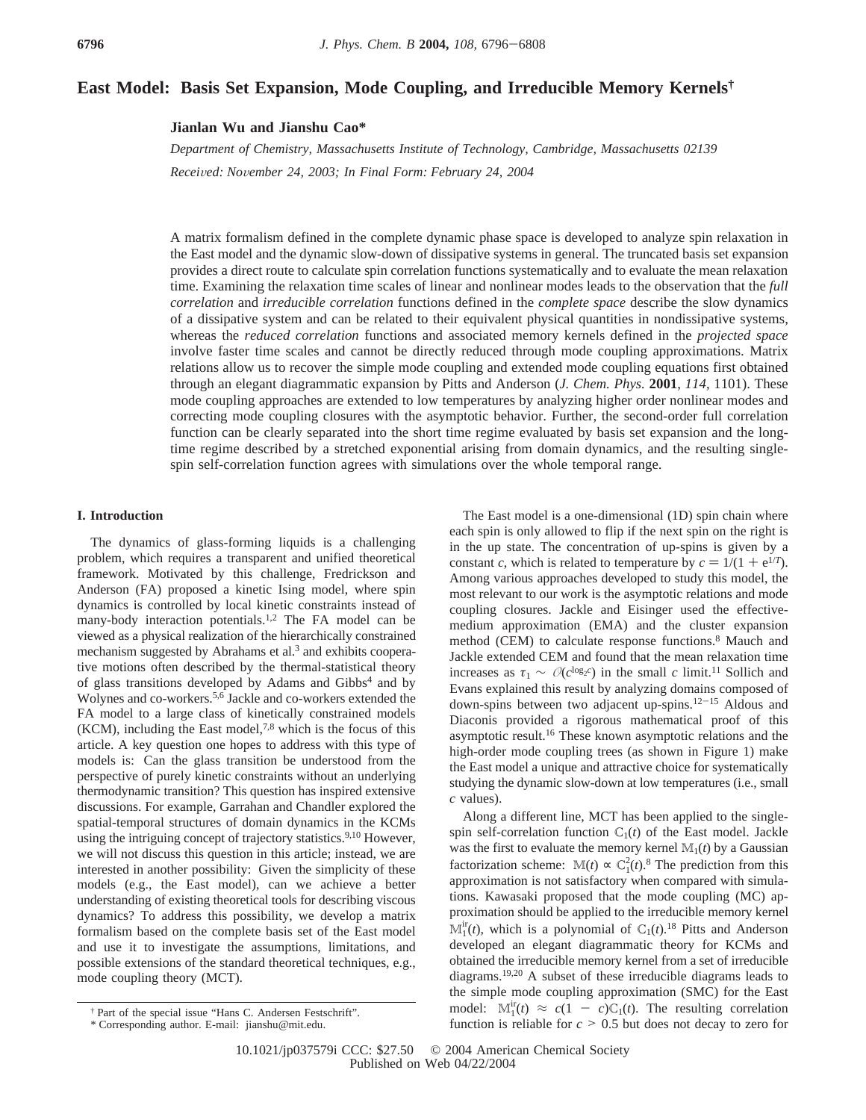# **East Model: Basis Set Expansion, Mode Coupling, and Irreducible Memory Kernels†**

**Jianlan Wu and Jianshu Cao\***

*Department of Chemistry, Massachusetts Institute of Technology, Cambridge, Massachusetts 02139 Recei*V*ed: No*V*ember 24, 2003; In Final Form: February 24, 2004*

A matrix formalism defined in the complete dynamic phase space is developed to analyze spin relaxation in the East model and the dynamic slow-down of dissipative systems in general. The truncated basis set expansion provides a direct route to calculate spin correlation functions systematically and to evaluate the mean relaxation time. Examining the relaxation time scales of linear and nonlinear modes leads to the observation that the *full correlation* and *irreducible correlation* functions defined in the *complete space* describe the slow dynamics of a dissipative system and can be related to their equivalent physical quantities in nondissipative systems, whereas the *reduced correlation* functions and associated memory kernels defined in the *projected space* involve faster time scales and cannot be directly reduced through mode coupling approximations. Matrix relations allow us to recover the simple mode coupling and extended mode coupling equations first obtained through an elegant diagrammatic expansion by Pitts and Anderson (*J. Chem. Phys.* **2001**, *114*, 1101). These mode coupling approaches are extended to low temperatures by analyzing higher order nonlinear modes and correcting mode coupling closures with the asymptotic behavior. Further, the second-order full correlation function can be clearly separated into the short time regime evaluated by basis set expansion and the longtime regime described by a stretched exponential arising from domain dynamics, and the resulting singlespin self-correlation function agrees with simulations over the whole temporal range.

### **I. Introduction**

The dynamics of glass-forming liquids is a challenging problem, which requires a transparent and unified theoretical framework. Motivated by this challenge, Fredrickson and Anderson (FA) proposed a kinetic Ising model, where spin dynamics is controlled by local kinetic constraints instead of many-body interaction potentials.<sup>1,2</sup> The FA model can be viewed as a physical realization of the hierarchically constrained mechanism suggested by Abrahams et al.<sup>3</sup> and exhibits cooperative motions often described by the thermal-statistical theory of glass transitions developed by Adams and Gibbs<sup>4</sup> and by Wolynes and co-workers.5,6 Jackle and co-workers extended the FA model to a large class of kinetically constrained models  $(KCM)$ , including the East model,<sup>7,8</sup> which is the focus of this article. A key question one hopes to address with this type of models is: Can the glass transition be understood from the perspective of purely kinetic constraints without an underlying thermodynamic transition? This question has inspired extensive discussions. For example, Garrahan and Chandler explored the spatial-temporal structures of domain dynamics in the KCMs using the intriguing concept of trajectory statistics.<sup>9,10</sup> However, we will not discuss this question in this article; instead, we are interested in another possibility: Given the simplicity of these models (e.g., the East model), can we achieve a better understanding of existing theoretical tools for describing viscous dynamics? To address this possibility, we develop a matrix formalism based on the complete basis set of the East model and use it to investigate the assumptions, limitations, and possible extensions of the standard theoretical techniques, e.g., mode coupling theory (MCT).

The East model is a one-dimensional (1D) spin chain where each spin is only allowed to flip if the next spin on the right is in the up state. The concentration of up-spins is given by a constant *c*, which is related to temperature by  $c = 1/(1 + e^{1/T})$ . Among various approaches developed to study this model, the most relevant to our work is the asymptotic relations and mode coupling closures. Jackle and Eisinger used the effectivemedium approximation (EMA) and the cluster expansion method (CEM) to calculate response functions.8 Mauch and Jackle extended CEM and found that the mean relaxation time increases as  $\tau_1 \sim O(c^{\log_2 c})$  in the small *c* limit.<sup>11</sup> Sollich and Evans explained this result by analyzing domains composed of down-spins between two adjacent up-spins.12-<sup>15</sup> Aldous and Diaconis provided a rigorous mathematical proof of this asymptotic result.16 These known asymptotic relations and the high-order mode coupling trees (as shown in Figure 1) make the East model a unique and attractive choice for systematically studying the dynamic slow-down at low temperatures (i.e., small *c* values).

Along a different line, MCT has been applied to the singlespin self-correlation function  $C_1(t)$  of the East model. Jackle was the first to evaluate the memory kernel  $\mathbb{M}_1(t)$  by a Gaussian factorization scheme:  $M(t) \propto C_1^2(t)$ .<sup>8</sup> The prediction from this approximation is not satisfactory when compared with simulations. Kawasaki proposed that the mode coupling (MC) approximation should be applied to the irreducible memory kernel  $\mathbb{M}_1^{\text{ir}}(t)$ , which is a polynomial of  $\mathbb{C}_1(t)$ .<sup>18</sup> Pitts and Anderson developed an elegant diagrammatic theory for KCMs and obtained the irreducible memory kernel from a set of irreducible diagrams.19,20 A subset of these irreducible diagrams leads to the simple mode coupling approximation (SMC) for the East model:  $M_1^{ir}(t) \approx c(1 - c)C_1(t)$ . The resulting correlation function is reliable for  $c \ge 0.5$  but does not decay to zero for function is reliable for  $c > 0.5$  but does not decay to zero for

<sup>†</sup> Part of the special issue "Hans C. Andersen Festschrift".

<sup>\*</sup> Corresponding author. E-mail: jianshu@mit.edu.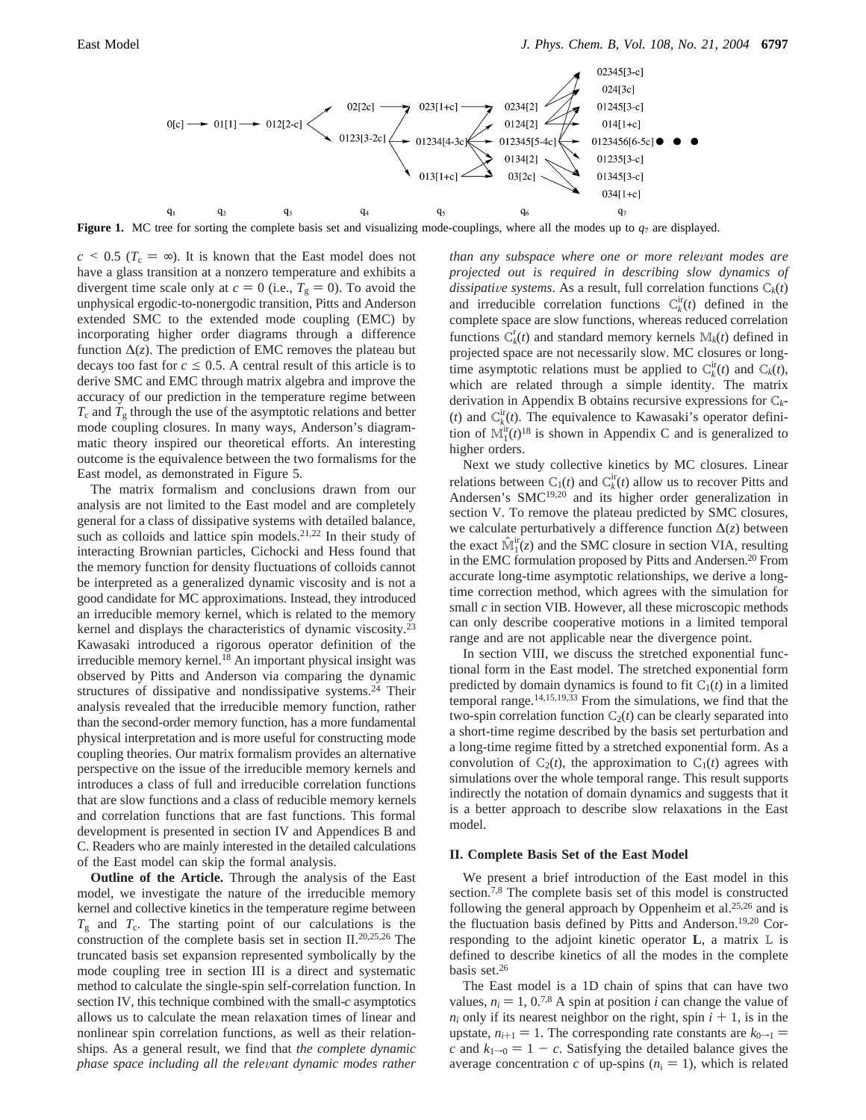

**Figure 1.** MC tree for sorting the complete basis set and visualizing mode-couplings, where all the modes up to  $q_7$  are displayed.

 $c \le 0.5$  ( $T_c = \infty$ ). It is known that the East model does not have a glass transition at a nonzero temperature and exhibits a divergent time scale only at  $c = 0$  (i.e.,  $T_g = 0$ ). To avoid the unphysical ergodic-to-nonergodic transition, Pitts and Anderson extended SMC to the extended mode coupling (EMC) by incorporating higher order diagrams through a difference function  $\Delta(z)$ . The prediction of EMC removes the plateau but decays too fast for  $c \leq 0.5$ . A central result of this article is to derive SMC and EMC through matrix algebra and improve the accuracy of our prediction in the temperature regime between  $T_c$  and  $T_g$  through the use of the asymptotic relations and better mode coupling closures. In many ways, Anderson's diagrammatic theory inspired our theoretical efforts. An interesting outcome is the equivalence between the two formalisms for the East model, as demonstrated in Figure 5.

The matrix formalism and conclusions drawn from our analysis are not limited to the East model and are completely general for a class of dissipative systems with detailed balance, such as colloids and lattice spin models.<sup>21,22</sup> In their study of interacting Brownian particles, Cichocki and Hess found that the memory function for density fluctuations of colloids cannot be interpreted as a generalized dynamic viscosity and is not a good candidate for MC approximations. Instead, they introduced an irreducible memory kernel, which is related to the memory kernel and displays the characteristics of dynamic viscosity.<sup>23</sup> Kawasaki introduced a rigorous operator definition of the irreducible memory kernel.<sup>18</sup> An important physical insight was observed by Pitts and Anderson via comparing the dynamic structures of dissipative and nondissipative systems.<sup>24</sup> Their analysis revealed that the irreducible memory function, rather than the second-order memory function, has a more fundamental physical interpretation and is more useful for constructing mode coupling theories. Our matrix formalism provides an alternative perspective on the issue of the irreducible memory kernels and introduces a class of full and irreducible correlation functions that are slow functions and a class of reducible memory kernels and correlation functions that are fast functions. This formal development is presented in section IV and Appendices B and C. Readers who are mainly interested in the detailed calculations of the East model can skip the formal analysis.

**Outline of the Article.** Through the analysis of the East model, we investigate the nature of the irreducible memory kernel and collective kinetics in the temperature regime between  $T_g$  and  $T_c$ . The starting point of our calculations is the construction of the complete basis set in section II.20,25,26 The truncated basis set expansion represented symbolically by the mode coupling tree in section III is a direct and systematic method to calculate the single-spin self-correlation function. In section IV, this technique combined with the small-*c* asymptotics allows us to calculate the mean relaxation times of linear and nonlinear spin correlation functions, as well as their relationships. As a general result, we find that *the complete dynamic phase space including all the relevant dynamic modes rather* 

*than any subspace where one or more relevant modes are projected out is required in describing slow dynamics of dissipative systems*. As a result, full correlation functions  $C_k(t)$ and irreducible correlation functions  $C_k^{\text{ir}}(t)$  defined in the complete space are slow functions, whereas reduced correlation functions  $C_k^r(t)$  and standard memory kernels  $M_k(t)$  defined in projected space are not necessarily slow. MC closures or longtime asymptotic relations must be applied to  $C_k^{\text{ir}}(t)$  and  $C_k(t)$ , which are related through a simple identity. The matrix derivation in Appendix B obtains recursive expressions for C*k*- (*t*) and  $C_k^{\text{ir}}(t)$ . The equivalence to Kawasaki's operator definition of  $\mathbb{M}_1^{\text{ir}}(t)^{18}$  is shown in Appendix C and is generalized to higher orders.

Next we study collective kinetics by MC closures. Linear relations between  $C_1(t)$  and  $C_k^{\text{ir}}(t)$  allow us to recover Pitts and Andersen's SMC<sup>19,20</sup> and its higher order generalization in section V. To remove the plateau predicted by SMC closures, we calculate perturbatively a difference function ∆(*z*) between the exact  $\hat{M}_1^{\text{ir}}(z)$  and the SMC closure in section VIA, resulting<br>in the EMC formulation proposed by Pitts and Andersen <sup>20</sup> From in the EMC formulation proposed by Pitts and Andersen.<sup>20</sup> From accurate long-time asymptotic relationships, we derive a longtime correction method, which agrees with the simulation for small *c* in section VIB. However, all these microscopic methods can only describe cooperative motions in a limited temporal range and are not applicable near the divergence point.

In section VIII, we discuss the stretched exponential functional form in the East model. The stretched exponential form predicted by domain dynamics is found to fit  $C_1(t)$  in a limited temporal range.14,15,19,33 From the simulations, we find that the two-spin correlation function  $C_2(t)$  can be clearly separated into a short-time regime described by the basis set perturbation and a long-time regime fitted by a stretched exponential form. As a convolution of  $C_2(t)$ , the approximation to  $C_1(t)$  agrees with simulations over the whole temporal range. This result supports indirectly the notation of domain dynamics and suggests that it is a better approach to describe slow relaxations in the East model.

# **II. Complete Basis Set of the East Model**

We present a brief introduction of the East model in this section.<sup>7,8</sup> The complete basis set of this model is constructed following the general approach by Oppenheim et al.<sup>25,26</sup> and is the fluctuation basis defined by Pitts and Anderson.19,20 Corresponding to the adjoint kinetic operator **L**, a matrix L is defined to describe kinetics of all the modes in the complete basis set.26

The East model is a 1D chain of spins that can have two values,  $n_i = 1$ , 0.<sup>7,8</sup> A spin at position *i* can change the value of  $n_i$  only if its nearest neighbor on the right, spin  $i + 1$ , is in the upstate,  $n_{i+1} = 1$ . The corresponding rate constants are  $k_{0 \to 1} =$ *c* and  $k_{1\rightarrow0} = 1 - c$ . Satisfying the detailed balance gives the average concentration *c* of up-spins  $(n_i = 1)$ , which is related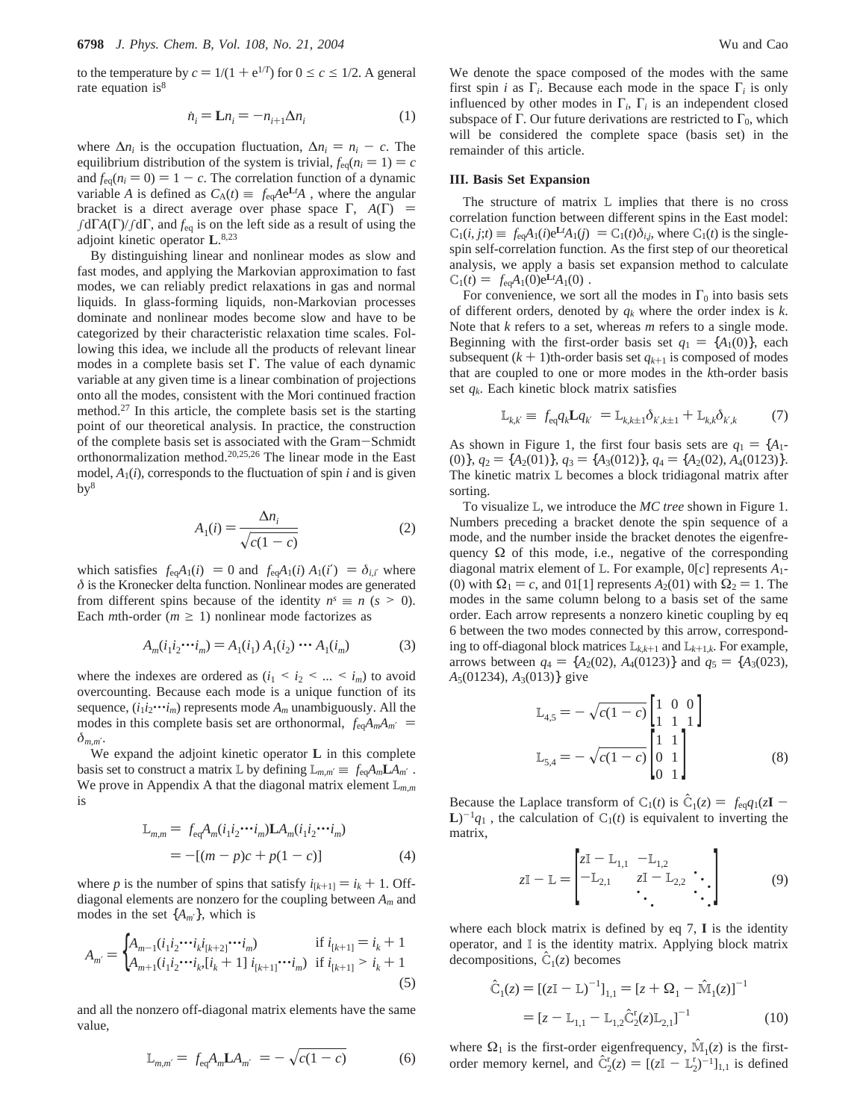to the temperature by  $c = 1/(1 + e^{1/T})$  for  $0 \le c \le 1/2$ . A general rate equation is $8$ 

$$
\dot{n}_i = \mathbf{L} n_i = -n_{i+1} \Delta n_i \tag{1}
$$

where  $\Delta n_i$  is the occupation fluctuation,  $\Delta n_i = n_i - c$ . The equilibrium distribution of the system is trivial,  $f_{eq}(n_i = 1) = c$ and  $f_{eq}(n_i = 0) = 1 - c$ . The correlation function of a dynamic variable *A* is defined as  $C_A(t) \equiv \langle f_{eq}Ae^{Lt}A \rangle$ , where the angular bracket is a direct average over phase space  $\Gamma$ ,  $\langle A(\Gamma) \rangle$  = ∫dΓ*A*(Γ)/∫dΓ, and *f*eq is on the left side as a result of using the adjoint kinetic operator **L**. 8,23

By distinguishing linear and nonlinear modes as slow and fast modes, and applying the Markovian approximation to fast modes, we can reliably predict relaxations in gas and normal liquids. In glass-forming liquids, non-Markovian processes dominate and nonlinear modes become slow and have to be categorized by their characteristic relaxation time scales. Following this idea, we include all the products of relevant linear modes in a complete basis set Γ. The value of each dynamic variable at any given time is a linear combination of projections onto all the modes, consistent with the Mori continued fraction method.27 In this article, the complete basis set is the starting point of our theoretical analysis. In practice, the construction of the complete basis set is associated with the Gram-Schmidt orthonormalization method.20,25,26 The linear mode in the East model,  $A_1(i)$ , corresponds to the fluctuation of spin *i* and is given  $by<sup>8</sup>$ 

$$
A_1(i) = \frac{\Delta n_i}{\sqrt{c(1-c)}}\tag{2}
$$

which satisfies  $\langle f_{eq}A_1(i) \rangle = 0$  and  $\langle f_{eq}A_1(i) A_1(i') \rangle = \delta_{i,i'}$  where *δ* is the Kronecker delta function. Nonlinear modes are generated from different spins because of the identity  $n<sup>s</sup> \equiv n$  ( $s > 0$ ). Each *m*th-order ( $m \ge 1$ ) nonlinear mode factorizes as

$$
A_m(i_1i_2\cdots i_m) = A_1(i_1) A_1(i_2) \cdots A_1(i_m)
$$
 (3)

where the indexes are ordered as  $(i_1 \le i_2 \le ... \le i_m)$  to avoid overcounting. Because each mode is a unique function of its sequence,  $(i_1 i_2 \cdots i_m)$  represents mode  $A_m$  unambiguously. All the modes in this complete basis set are orthonormal,  $\langle f_{eq}A_m A_m' \rangle$  = *δm*,*m*′.

We expand the adjoint kinetic operator **L** in this complete basis set to construct a matrix L by defining  $L_{m,m'} \equiv \langle f_{eq} A_m L A_{m'} \rangle$ . We prove in Appendix A that the diagonal matrix element L*m*,*<sup>m</sup>* is

$$
\mathbb{L}_{m,m} = \langle f_{\text{eq}} A_m (i_1 i_2 \cdots i_m) \mathbf{L} A_m (i_1 i_2 \cdots i_m) \rangle
$$
  
= -[(m - p)c + p(1 - c)] (4)

where *p* is the number of spins that satisfy  $i_{[k+1]} = i_k + 1$ . Offdiagonal elements are nonzero for the coupling between *Am* and modes in the set  $\{A_{m'}\}$ , which is

$$
A_{m'} = \begin{cases} A_{m-1}(i_1 i_2 \cdots i_k i_{[k+2]} \cdots i_m) & \text{if } i_{[k+1]} = i_k + 1 \\ A_{m+1}(i_1 i_2 \cdots i_k, [i_k + 1] i_{[k+1]} \cdots i_m) & \text{if } i_{[k+1]} > i_k + 1 \end{cases}
$$
(5)

and all the nonzero off-diagonal matrix elements have the same value,

$$
\mathbb{L}_{m,m'} = \langle f_{\text{eq}} A_m \mathbf{L} A_m \rangle = -\sqrt{c(1-c)} \tag{6}
$$

We denote the space composed of the modes with the same first spin *i* as  $\Gamma_i$ . Because each mode in the space  $\Gamma_i$  is only influenced by other modes in  $\Gamma_i$ ,  $\Gamma_i$  is an independent closed subspace of Γ. Our future derivations are restricted to  $\Gamma_0$ , which will be considered the complete space (basis set) in the remainder of this article.

#### **III. Basis Set Expansion**

The structure of matrix L implies that there is no cross correlation function between different spins in the East model:  $C_1(i, j; t) \equiv \langle f_{eq}A_1(i)e^{Lt}A_1(j)\rangle = C_1(t)\delta_{ij}$ , where  $C_1(t)$  is the single-<br>spin self-correlation function. As the first step of our theoretical spin self-correlation function. As the first step of our theoretical analysis, we apply a basis set expansion method to calculate  $\mathbb{C}_1(t) = \langle f_{eq}A_1(0)e^{Lt}A_1(0) \rangle$ .<br>For convenience we so

For convenience, we sort all the modes in  $\Gamma_0$  into basis sets of different orders, denoted by *qk* where the order index is *k*. Note that *k* refers to a set, whereas *m* refers to a single mode. Beginning with the first-order basis set  $q_1 = \{A_1(0)\}$ , each subsequent  $(k + 1)$ th-order basis set  $q_{k+1}$  is composed of modes that are coupled to one or more modes in the *k*th-order basis set *qk*. Each kinetic block matrix satisfies

$$
\mathbb{L}_{k,k'} \equiv \langle f_{\text{eq}} q_k \mathbf{L} q_{k'} \rangle = \mathbb{L}_{k,k+1} \delta_{k',k+1} + \mathbb{L}_{k,k} \delta_{k',k} \tag{7}
$$

As shown in Figure 1, the first four basis sets are  $q_1 = \{A_1\}$  $(0)$ ,  $q_2 = \{A_2(01)\}, q_3 = \{A_3(012)\}, q_4 = \{A_2(02), A_4(0123)\}.$ The kinetic matrix L becomes a block tridiagonal matrix after sorting.

To visualize L, we introduce the *MC tree* shown in Figure 1. Numbers preceding a bracket denote the spin sequence of a mode, and the number inside the bracket denotes the eigenfrequency  $\Omega$  of this mode, i.e., negative of the corresponding diagonal matrix element of L. For example, 0[*c*] represents *A*1- (0) with  $\Omega_1 = c$ , and 01[1] represents  $A_2(01)$  with  $\Omega_2 = 1$ . The modes in the same column belong to a basis set of the same order. Each arrow represents a nonzero kinetic coupling by eq 6 between the two modes connected by this arrow, corresponding to off-diagonal block matrices <sup>L</sup>*k*,*k*+<sup>1</sup> and <sup>L</sup>*<sup>k</sup>*+1,*k*. For example, arrows between  $q_4 = \{A_2(02), A_4(0123)\}\$  and  $q_5 = \{A_3(023),$ *A*5(01234), *A*3(013)} give

$$
L_{4,5} = -\sqrt{c(1-c)} \begin{bmatrix} 1 & 0 & 0 \\ 1 & 1 & 1 \end{bmatrix}
$$
  
\n
$$
L_{5,4} = -\sqrt{c(1-c)} \begin{bmatrix} 1 & 1 \\ 0 & 1 \\ 0 & 1 \end{bmatrix}
$$
 (8)

Because the Laplace transform of  $C_1(t)$  is  $\hat{C}_1(z) = \langle f_{eq}q_1(z) \rangle$  $L$ <sup>-1</sup> $q_1$ <sup>)</sup>, the calculation of C<sub>1</sub>(*t*) is equivalent to inverting the matrix,

$$
zI - L = \begin{bmatrix} zI - L_{1,1} & -L_{1,2} \\ -L_{2,1} & zI - L_{2,2} \\ \ddots & \ddots \end{bmatrix}
$$
 (9)

where each block matrix is defined by eq 7, **I** is the identity operator, and I is the identity matrix. Applying block matrix decompositions,  $\hat{C}_1(z)$  becomes

$$
\hat{C}_1(z) = [(zI - L)^{-1}]_{1,1} = [z + \Omega_1 - \hat{M}_1(z)]^{-1}
$$
  
=  $[z - L_{1,1} - L_{1,2}\hat{C}_2^r(z)L_{2,1}]^{-1}$  (10)

where  $\Omega_1$  is the first-order eigenfrequency,  $\mathbf{\hat{M}}_1(z)$  is the firstorder memory kernel, and  $\hat{C}_2^r(z) = [(zI - L_2^r)^{-1}]_{1,1}$  is defined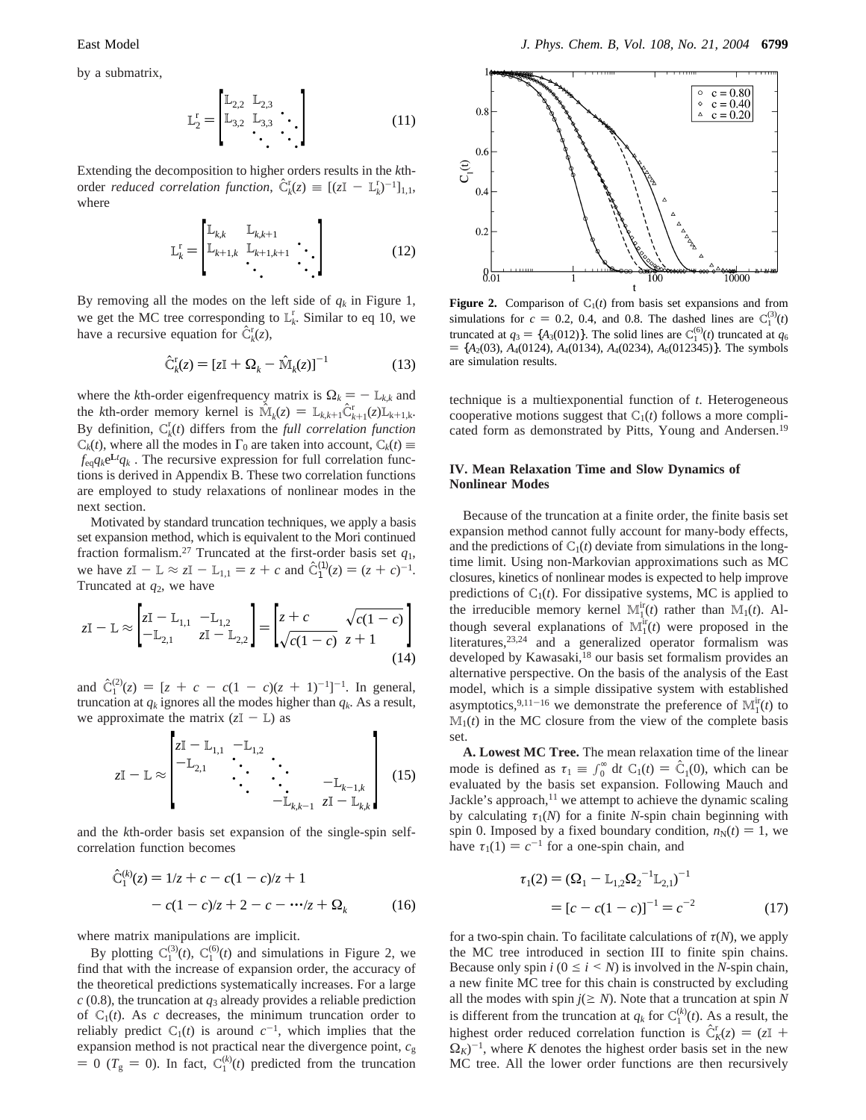by a submatrix,

$$
\mathbf{L}_{2}^{\mathrm{r}} = \begin{bmatrix} \mathbf{L}_{2,2} & \mathbf{L}_{2,3} \\ \mathbf{L}_{3,2} & \mathbf{L}_{3,3} & \ddots \\ \ddots & \ddots & \ddots \end{bmatrix} \tag{11}
$$

Extending the decomposition to higher orders results in the *k*thorder *reduced correlation function*,  $\hat{C}_k^r(z) \equiv [(\zeta I - L_k^r)^{-1}]_{1,1}$ , where where

$$
\mathbf{L}_{k}^{\mathrm{r}} = \begin{bmatrix} \mathbf{L}_{k,k} & \mathbf{L}_{k,k+1} \\ \mathbf{L}_{k+1,k} & \mathbf{L}_{k+1,k+1} & \ddots \\ \ddots & \ddots & \ddots \end{bmatrix} \tag{12}
$$

By removing all the modes on the left side of  $q_k$  in Figure 1, we get the MC tree corresponding to  $L_k^r$ . Similar to eq 10, we have a recursive equation for  $\hat{C}_k^r(z)$ ,

$$
\hat{\mathbf{C}}_k^{\mathsf{r}}(z) = [z\mathbf{I} + \mathbf{\Omega}_k - \hat{\mathbf{M}}_k(z)]^{-1} \tag{13}
$$

where the *k*th-order eigenfrequency matrix is  $\Omega_k = - \mathbb{L}_{k,k}$  and the *k*th-order memory kernel is  $\hat{M}_k(z) = L_{k,k+1} \hat{C}_{k+1}^r(z) L_{k+1,k}$ .<br>By definition  $C^r(t)$  differs from the *full correlation function* By definition,  $C_k^r(t)$  differs from the *full correlation function*  $C_k(t)$ , where all the modes in  $\Gamma_0$  are taken into account,  $C_k(t) \equiv$  $\langle f_{eq}q_k e^{Lt}q_k \rangle$ . The recursive expression for full correlation functions is derived in Appendix B. These two correlation functions are employed to study relaxations of nonlinear modes in the next section.

Motivated by standard truncation techniques, we apply a basis set expansion method, which is equivalent to the Mori continued fraction formalism.<sup>27</sup> Truncated at the first-order basis set  $q_1$ , we have  $zI - L \approx zI - L_{1,1} = z + c$  and  $\hat{C}_1^{(1)}(z) = (z + c)^{-1}$ .<br>Truncated at  $a_2$  we have Truncated at *q*2, we have

$$
zI - L \approx \begin{bmatrix} zI - L_{1,1} & -L_{1,2} \\ -L_{2,1} & zI - L_{2,2} \end{bmatrix} = \begin{bmatrix} z + c & \sqrt{c(1 - c)} \\ \sqrt{c(1 - c)} & z + 1 \end{bmatrix}
$$
(14)

and  $\hat{C}_1^{(2)}(z) = [z + c - c(1 - c)(z + 1)^{-1}]^{-1}$ . In general, truncation at *a<sub>i</sub>* ignores all the modes bigher than *a<sub>i</sub>*. As a result truncation at  $q_k$  ignores all the modes higher than  $q_k$ . As a result, we approximate the matrix  $(zI - L)$  as

$$
zI - L \approx \begin{bmatrix} zI - L_{1,1} & -L_{1,2} & & & \\ -L_{2,1} & \cdots & \cdots & & \\ & \ddots & \ddots & & -L_{k-1,k} \\ & & \ddots & \ddots & & \\ & & & -L_{k,k-1} & zI - L_{k,k} \end{bmatrix}
$$
 (15)

and the *k*th-order basis set expansion of the single-spin selfcorrelation function becomes

$$
\hat{C}_1^{(k)}(z) = 1/z + c - c(1 - c)/z + 1
$$

$$
- c(1 - c)/z + 2 - c - \cdots /z + \Omega_k \tag{16}
$$

where matrix manipulations are implicit.

By plotting  $C_1^{(3)}(t)$ ,  $C_1^{(6)}(t)$  and simulations in Figure 2, we find that with the increase of expansion order, the accuracy of the theoretical predictions systematically increases. For a large  $c$  (0.8), the truncation at  $q_3$  already provides a reliable prediction of  $C_1(t)$ . As *c* decreases, the minimum truncation order to reliably predict  $C_1(t)$  is around  $c^{-1}$ , which implies that the expansion method is not practical near the divergence point, *c*<sup>g</sup>  $= 0$  ( $T_g = 0$ ). In fact,  $C_1^{(k)}(t)$  predicted from the truncation



**Figure 2.** Comparison of  $C_1(t)$  from basis set expansions and from simulations for  $c = 0.2$ , 0.4, and 0.8. The dashed lines are  $C_1^{(3)}(t)$ <br>truncated at  $a = [A/(0.12)]$ . The solid lines are  $C_1^{(6)}(t)$  truncated at a truncated at  $q_3 = \{A_3(012)\}\$ . The solid lines are  $C_1^{(6)}(t)$  truncated at  $q_6 = \{A_3(03), A_4(0124), A_4(0134), A_4(01234), A_5(012345)\}\$ . The symbols  $= \{A_2(03), A_4(0124), A_4(0134), A_4(0234), A_6(012345)\}.$  The symbols are simulation results.

technique is a multiexponential function of *t*. Heterogeneous cooperative motions suggest that  $C_1(t)$  follows a more complicated form as demonstrated by Pitts, Young and Andersen.<sup>19</sup>

# **IV. Mean Relaxation Time and Slow Dynamics of Nonlinear Modes**

Because of the truncation at a finite order, the finite basis set expansion method cannot fully account for many-body effects, and the predictions of  $C_1(t)$  deviate from simulations in the longtime limit. Using non-Markovian approximations such as MC closures, kinetics of nonlinear modes is expected to help improve predictions of  $C_1(t)$ . For dissipative systems, MC is applied to the irreducible memory kernel  $\mathbb{M}_1^{\text{ir}}(t)$  rather than  $\mathbb{M}_1(t)$ . Although several explanations of  $\mathbb{M}_1^{\text{ir}}(t)$  were proposed in the literatures,23,24 and a generalized operator formalism was developed by Kawasaki,<sup>18</sup> our basis set formalism provides an alternative perspective. On the basis of the analysis of the East model, which is a simple dissipative system with established asymptotics,<sup>9,11-16</sup> we demonstrate the preference of  $\mathbb{M}_1^{\text{ir}}(t)$  to  $M_1(t)$  in the MC closure from the view of the complete basis set.

**A. Lowest MC Tree.** The mean relaxation time of the linear mode is defined as  $\tau_1 \equiv \int_0^\infty dt C_1(t) = \hat{C}_1(0)$ , which can be evaluated by the basis set expansion. Following Mauch and evaluated by the basis set expansion. Following Mauch and Jackle's approach, $11$  we attempt to achieve the dynamic scaling by calculating  $\tau_1(N)$  for a finite *N*-spin chain beginning with spin 0. Imposed by a fixed boundary condition,  $n_N(t) = 1$ , we have  $\tau_1(1) = c^{-1}$  for a one-spin chain, and

$$
\tau_1(2) = (\Omega_1 - L_{1,2}\Omega_2^{-1}L_{2,1})^{-1}
$$
  
=  $[c - c(1 - c)]^{-1} = c^{-2}$  (17)

for a two-spin chain. To facilitate calculations of *τ*(*N*), we apply the MC tree introduced in section III to finite spin chains. Because only spin  $i$  ( $0 \le i \le N$ ) is involved in the *N*-spin chain, a new finite MC tree for this chain is constructed by excluding all the modes with spin  $j \geq N$ ). Note that a truncation at spin *N* is different from the truncation at  $q_k$  for  $C_1^{(k)}(t)$ . As a result, the highest order reduced correlation function is  $\hat{C}_K^r(z) = (zI + Q_{\kappa})^{-1}$  where K denotes the highest order basis set in the new  $\Omega_K$ )<sup>-1</sup>, where *K* denotes the highest order basis set in the new MC tree. All the lower order functions are then recursively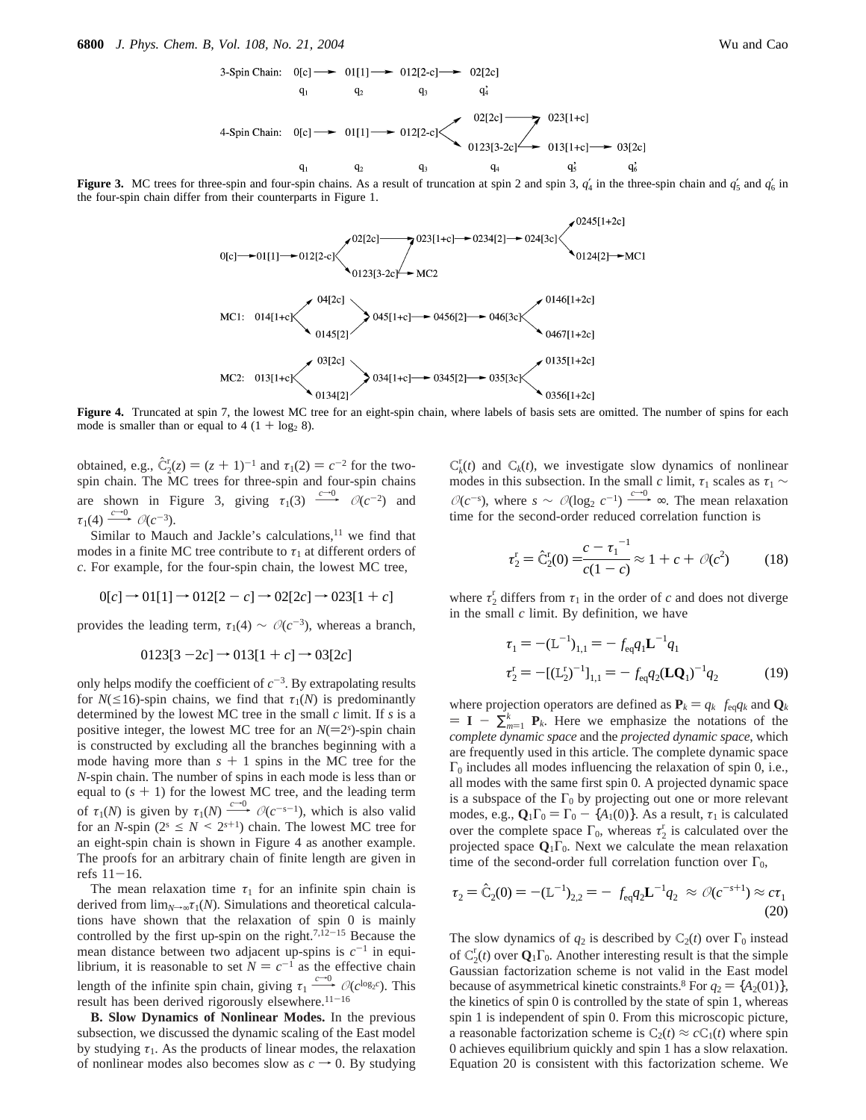**Figure 3.** MC trees for three-spin and four-spin chains. As a result of truncation at spin 2 and spin 3,  $q'_{4}$  in the three-spin chain and  $q'_{5}$  and  $q'_{6}$  in the four-spin chain differ from their counterparts in Figure 1.



Figure 4. Truncated at spin 7, the lowest MC tree for an eight-spin chain, where labels of basis sets are omitted. The number of spins for each mode is smaller than or equal to  $4(1 + \log_2 8)$ .

obtained, e.g.,  $\hat{C}_2^r(z) = (z + 1)^{-1}$  and  $\tau_1(2) = c^{-2}$  for the two-spin chain. The MC trees for three-spin and four-spin chains are shown in Figure 3, giving  $\tau_1(3) \xrightarrow{c=0} \mathcal{O}(c^{-2})$  and  $\tau_1(4) \xrightarrow{c=0} \mathcal{O}(c^{-3})$ .<br>Similar to Mauch and Jackle's calculations,<sup>11</sup> we find that

 $\tau_1(4) \xrightarrow{c \to 0} \mathcal{O}(c^{-3}).$ <br>Similar to Mau<br>modes in a finite N Similar to Mauch and Jackle's calculations, $11$  we find that modes in a finite MC tree contribute to  $\tau_1$  at different orders of *c*. For example, for the four-spin chain, the lowest MC tree,

$$
0[c] \to 01[1] \to 012[2 - c] \to 02[2c] \to 023[1 + c]
$$

provides the leading term,  $\tau_1(4) \sim \mathcal{O}(c^{-3})$ , whereas a branch,

$$
0123[3 - 2c] \to 013[1 + c] \to 03[2c]
$$

only helps modify the coefficient of  $c^{-3}$ . By extrapolating results for  $N(\leq 16)$ -spin chains, we find that  $\tau_1(N)$  is predominantly determined by the lowest MC tree in the small *c* limit. If *s* is a positive integer, the lowest MC tree for an  $N(=2<sup>s</sup>)$ -spin chain<br>is constructed by excluding all the branches beginning with a is constructed by excluding all the branches beginning with a mode having more than  $s + 1$  spins in the MC tree for the *N*-spin chain. The number of spins in each mode is less than or equal to  $(s + 1)$  for the lowest MC tree, and the leading term of  $\tau_1(N)$  is given by  $\tau_1(N) \xrightarrow{c \to 0} \mathcal{O}(c^{-s-1})$ , which is also valid<br>for an *N*-spin ( $2^s \leq N \leq 2^{s+1}$ ) chain. The lowest MC tree for<br>an eight-spin chain is shown in Figure 4 as another example. for an *N*-spin ( $2^s \le N \le 2^{s+1}$ ) chain. The lowest MC tree for an eight-spin chain is shown in Figure 4 as another example. The proofs for an arbitrary chain of finite length are given in refs  $11-16$ .

The mean relaxation time  $\tau_1$  for an infinite spin chain is derived from  $\lim_{N\to\infty} \tau_1(N)$ . Simulations and theoretical calculations have shown that the relaxation of spin 0 is mainly controlled by the first up-spin on the right.<sup>7,12-15</sup> Because the mean distance between two adjacent up-spins is  $c^{-1}$  in equilibrium, it is reasonable to set  $N = c^{-1}$  as the effective chain length of the infinite spin chain, giving  $\tau_1 \xrightarrow{c \to 0} \mathcal{O}(c^{\log_2 c})$ . This result has been derived rigorously elsewhere.<sup>11–16</sup><br> **B. Slow Dynamics of Nonlinear Modes.** In the previous subsection we discussed the dynam result has been derived rigorously elsewhere.<sup>11-16</sup>

**B. Slow Dynamics of Nonlinear Modes.** In the previous subsection, we discussed the dynamic scaling of the East model by studying  $\tau_1$ . As the products of linear modes, the relaxation of nonlinear modes also becomes slow as  $c \rightarrow 0$ . By studying

 $C_k^r(t)$  and  $C_k(t)$ , we investigate slow dynamics of nonlinear modes in this subsection. In the small *c* limit,  $\tau_1$  scales as  $\tau_1$  ∼  $O(c^{-s})$ , where  $s \sim O(\log_2 c^{-1}) \xrightarrow{c=0} \infty$ . The mean relaxation time for the second-order reduced correlation function is time for the second-order reduced correlation function is

$$
\tau_2^r = \hat{C}_2^r(0) = \frac{c - \tau_1^{-1}}{c(1 - c)} \approx 1 + c + \mathcal{O}(c^2)
$$
 (18)

where  $\tau_2^r$  differs from  $\tau_1$  in the order of *c* and does not diverge in the small *c* limit. By definition, we have

$$
\tau_1 = -(\mathbf{L}^{-1})_{1,1} = -\langle f_{\text{eq}} q_1 \mathbf{L}^{-1} q_1 \rangle
$$
  
\n
$$
\tau_2^{\mathbf{r}} = -[(\mathbf{L}_2^{\mathbf{r}})^{-1}]_{1,1} = -\langle f_{\text{eq}} q_2 (\mathbf{L} \mathbf{Q}_1)^{-1} q_2 \rangle
$$
 (19)

where projection operators are defined as  $P_k = q_k \chi f_{eq} q_k$  and  $Q_k$  $= I - \sum_{m=1}^{k} P_k$ . Here we emphasize the notations of the complete dynamic space and the projected dynamic space which *complete dynamic space* and the *projected dynamic space*, which are frequently used in this article. The complete dynamic space  $\Gamma_0$  includes all modes influencing the relaxation of spin 0, i.e., all modes with the same first spin 0. A projected dynamic space is a subspace of the  $\Gamma_0$  by projecting out one or more relevant modes, e.g.,  $\mathbf{Q}_1 \Gamma_0 = \Gamma_0 - \{A_1(0)\}\$ . As a result,  $\tau_1$  is calculated over the complete space  $\Gamma_0$ , whereas  $\tau_2^r$  is calculated over the projected space  $\mathbf{Q}_1 \Gamma_0$ . Next we calculate the mean relaxation time of the second-order full correlation function over  $\Gamma_0$ ,

$$
\tau_2 = \hat{C}_2(0) = -(\mathbf{L}^{-1})_{2,2} = -\langle f_{eq}q_2 \mathbf{L}^{-1} q_2 \rangle \approx \mathcal{O}(c^{-s+1}) \approx c\tau_1
$$
\n(20)

The slow dynamics of  $q_2$  is described by  $C_2(t)$  over  $\Gamma_0$  instead of  $C_2^r(t)$  over  $\mathbf{Q}_1 \Gamma_0$ . Another interesting result is that the simple Gaussian factorization scheme is not valid in the East model because of asymmetrical kinetic constraints.<sup>8</sup> For  $q_2 = \{A_2(01)\},\$ the kinetics of spin 0 is controlled by the state of spin 1, whereas spin 1 is independent of spin 0. From this microscopic picture, a reasonable factorization scheme is  $C_2(t) \approx cC_1(t)$  where spin 0 achieves equilibrium quickly and spin 1 has a slow relaxation. Equation 20 is consistent with this factorization scheme. We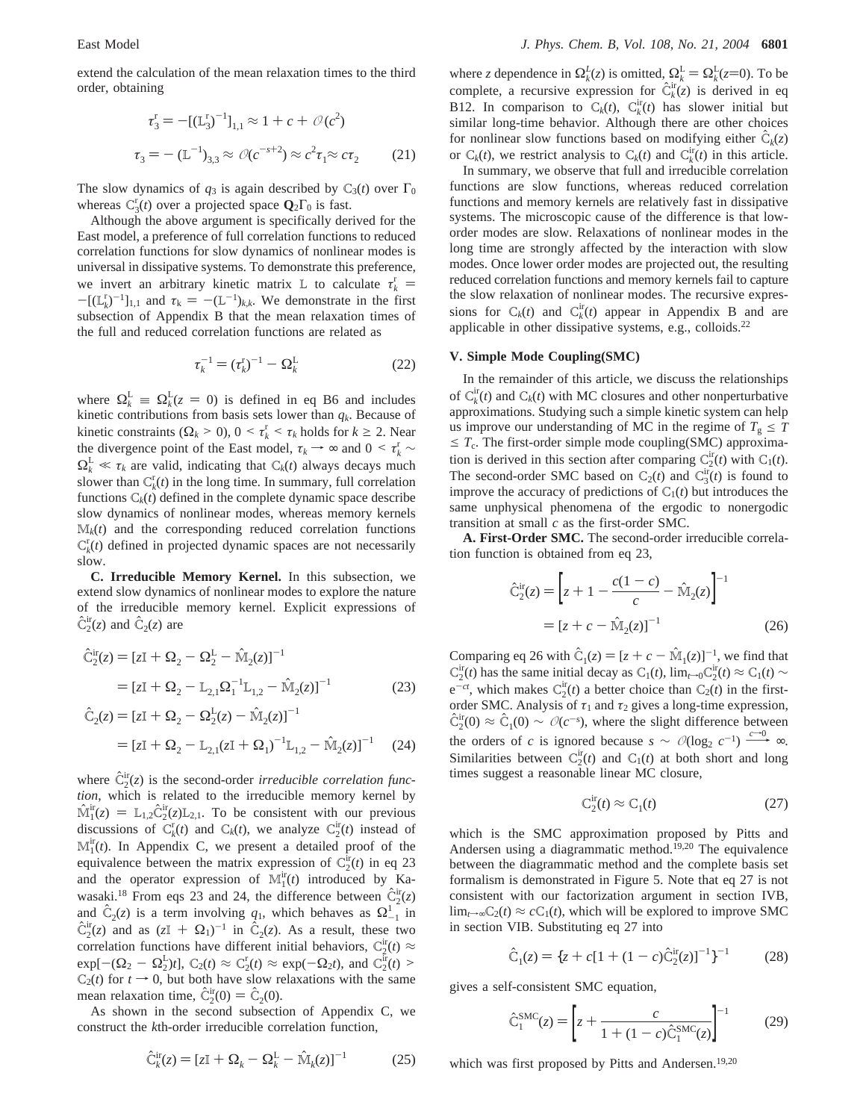extend the calculation of the mean relaxation times to the third order, obtaining

$$
\tau_3^r = -[(\mathbb{L}_3^r)^{-1}]_{1,1} \approx 1 + c + \mathcal{O}(c^2)
$$
  

$$
\tau_3 = -(\mathbb{L}^{-1})_{3,3} \approx \mathcal{O}(c^{-s+2}) \approx c^2 \tau_1 \approx c \tau_2 \tag{21}
$$

The slow dynamics of  $q_3$  is again described by  $C_3(t)$  over  $\Gamma_0$ whereas  $C_3^r(t)$  over a projected space  $\mathbf{Q}_2 \Gamma_0$  is fast.

Although the above argument is specifically derived for the East model, a preference of full correlation functions to reduced correlation functions for slow dynamics of nonlinear modes is universal in dissipative systems. To demonstrate this preference, we invert an arbitrary kinetic matrix L to calculate  $τ_k^r$  $-[(\mathbf{L}_{k}^{r})^{-1}]_{1,1}$  and  $\tau_{k} = -(\mathbf{L}^{-1})_{k,k}$ . We demonstrate in the first<br>subsection of Appendix B that the mean relaxation times of subsection of Appendix B that the mean relaxation times of the full and reduced correlation functions are related as

$$
\tau_k^{-1} = (\tau_k^r)^{-1} - \Omega_k^L \tag{22}
$$

where  $\Omega_k^L \equiv \Omega_k^L(z = 0)$  is defined in eq B6 and includes kinetic contributions from basis sets lower than  $a_k$  Because of kinetic contributions from basis sets lower than  $q_k$ . Because of kinetic constraints  $(\Omega_k > 0)$ ,  $0 < \tau_k^r < \tau_k$  holds for  $k \ge 2$ . Near the divergence point of the East model,  $\tau_k \to \infty$  and  $0 \leq \tau_k^r \sim$ <br>  $\Omega^L \ll \tau$  are valid, indicating that  $C_1(t)$  always decays much  $\Omega_k^L \ll \tau_k$  are valid, indicating that  $C_k(t)$  always decays much slower than  $C^L(t)$  in the long time. In summary, full correlation slower than  $C_k^r(t)$  in the long time. In summary, full correlation functions  $C_k(t)$  defined in the complete dynamic space describe slow dynamics of nonlinear modes, whereas memory kernels  $M_k(t)$  and the corresponding reduced correlation functions  $C_k^r(t)$  defined in projected dynamic spaces are not necessarily slow.

**C. Irreducible Memory Kernel.** In this subsection, we extend slow dynamics of nonlinear modes to explore the nature of the irreducible memory kernel. Explicit expressions of  $\hat{C}_2^{\text{ir}}(z)$  and  $\hat{C}_2(z)$  are

$$
\hat{C}_2^{ir}(z) = [zI + \Omega_2 - \Omega_2^L - \hat{M}_2(z)]^{-1}
$$
  
=  $[zI + \Omega_2 - L_{2,1}\Omega_1^{-1}L_{1,2} - \hat{M}_2(z)]^{-1}$  (23)

$$
\hat{C}_2(z) = [zI + \Omega_2 - \Omega_2^L(z) - \hat{M}_2(z)]^{-1}
$$
  
=  $[zI + \Omega_2 - L_{2,1}(zI + \Omega_1)^{-1}L_{1,2} - \hat{M}_2(z)]^{-1}$  (24)

where  $\hat{C}_2^{\text{ir}}(z)$  is the second-order *irreducible correlation function* which is related to the *irreducible memory kernel* by *tion*, which is related to the irreducible memory kernel by  $\hat{M}_1^{\text{ir}}(z) = L_{1,2} \hat{C}_2^{\text{ir}}(z) L_{2,1}$ . To be consistent with our previous discussions of  $C_1^{\text{ir}}(t)$  and  $C_2(t)$ , we analyze  $C_1^{\text{ir}}(t)$  instead of discussions of  $C_k^r(t)$  and  $C_k(t)$ , we analyze  $C_2^r(t)$  instead of  $\mathbb{M}_1^{\text{ir}}(t)$ . In Appendix C, we present a detailed proof of the equivalence between the matrix expression of  $C_2^{\text{ir}}(t)$  in eq 23 and the operator expression of  $M_1^{\text{ir}}(t)$  introduced by Kawasaki.<sup>18</sup> From eqs 23 and 24, the difference between  $\hat{C}_{i}^{ir}(z)$ and  $\hat{C}_2(z)$  is a term involving  $q_1$ , which behaves as  $\Omega_{-1}^1$  in  $\hat{C}_1(z)$  and as  $(z^{\top} + \Omega_z)^{-1}$  in  $\hat{C}_2(z)$ . As a result, these two  $\hat{C}_{2}^{ir}(z)$  and as  $(zI + \Omega_{1})^{-1}$  in  $\hat{C}_{2}(z)$ . As a result, these two correlation functions have different initial behaviors,  $C_2^{ir}(t) \approx$  $\exp[-(\Omega_2 - \Omega_2^L)t]$ ,  $C_2(t) \approx C_2^r(t) \approx \exp(-\Omega_2 t)$ , and  $C_2^r(t) > C_2(t)$  for  $t \to 0$ , but both have slow relaxations with the same mean relaxation time,  $\hat{C}_2^{\text{ir}}(0) = \hat{C}_2(0)$ .<br>As shown in the second subsection

As shown in the second subsection of Appendix C, we construct the *k*th-order irreducible correlation function,

$$
\hat{C}_k^{\text{ir}}(z) = [zI + \Omega_k - \Omega_k^{\text{L}} - \hat{M}_k(z)]^{-1}
$$
 (25)

where *z* dependence in  $\Omega_k^L(z)$  is omitted,  $\Omega_k^L = \Omega_k^L(z=0)$ . To be complete a requiring expression for  $\hat{C}^{\text{ir}}(z)$  is derived in eq. complete, a recursive expression for  $\hat{C}_{k}^{ir}(z)$  is derived in eq. **P12** In comparison to  $C_1(t)$ ,  $C_{k}^{ir}(t)$  has slower initial but B12. In comparison to  $C_k(t)$ ,  $C_k^{ir}(t)$  has slower initial but similar long-time behavior. Although there are other choices for nonlinear slow functions based on modifying either  $\hat{C}_k(z)$ or  $C_k(t)$ , we restrict analysis to  $C_k(t)$  and  $C_k^{ir}(t)$  in this article.

In summary, we observe that full and irreducible correlation functions are slow functions, whereas reduced correlation functions and memory kernels are relatively fast in dissipative systems. The microscopic cause of the difference is that loworder modes are slow. Relaxations of nonlinear modes in the long time are strongly affected by the interaction with slow modes. Once lower order modes are projected out, the resulting reduced correlation functions and memory kernels fail to capture the slow relaxation of nonlinear modes. The recursive expressions for  $C_k(t)$  and  $C_k^{\text{ir}}(t)$  appear in Appendix B and are applicable in other dissipative systems, e.g., colloids.22

#### **V. Simple Mode Coupling(SMC)**

In the remainder of this article, we discuss the relationships of  $C_k^{\text{ir}}(t)$  and  $C_k(t)$  with MC closures and other nonperturbative approximations. Studying such a simple kinetic system can help us improve our understanding of MC in the regime of  $T_g \leq T$  $\leq T_c$ . The first-order simple mode coupling(SMC) approximation is derived in this section after comparing  $C_2^{ir}(t)$  with  $C_1(t)$ . The second-order SMC based on  $C_2(t)$  and  $C_3^{ir}(t)$  is found to improve the accuracy of predictions of  $C_1(t)$  but introduces the same unphysical phenomena of the ergodic to nonergodic transition at small *c* as the first-order SMC.

**A. First-Order SMC.** The second-order irreducible correlation function is obtained from eq 23,

$$
\hat{C}_2^{\text{ir}}(z) = \left[ z + 1 - \frac{c(1-c)}{c} - \hat{M}_2(z) \right]^{-1}
$$

$$
= \left[ z + c - \hat{M}_2(z) \right]^{-1} \tag{26}
$$

Comparing eq 26 with  $\hat{C}_1(z) = [z + c - \hat{M}_1(z)]^{-1}$ , we find that  $C_2^{\text{ir}}(t)$  has the same initial decay as  $C_1(t)$ ,  $\lim_{t\to 0}C_2^{\text{ir}}(t) \approx C_1(t)$  $e^{-ct}$ , which makes  $C_2^{\text{ir}}(t)$  a better choice than  $C_2(t)$  in the firstorder SMC. Analysis of  $\tau_1$  and  $\tau_2$  gives a long-time expression,  $\hat{C}_1^{\text{ir}}(0) \approx \hat{C}_1(0) \sim \mathcal{O}(c^{-s})$ , where the slight difference between the orders of *c* is ignored because  $s \sim \mathcal{O}(\log_2 c^{-1}) \xrightarrow{c \to 0} \infty$ . Similarities between  $C_2^{\text{ir}}(t)$  and  $C_1(t)$  at both short and long times suggest a reasonable linear MC closure,

$$
C_2^{\rm ir}(t) \approx C_1(t) \tag{27}
$$

which is the SMC approximation proposed by Pitts and Andersen using a diagrammatic method.<sup>19,20</sup> The equivalence between the diagrammatic method and the complete basis set formalism is demonstrated in Figure 5. Note that eq 27 is not consistent with our factorization argument in section IVB, lim<sub>*t*→∞</sub>C<sub>2</sub>(*t*) ≈ *c*C<sub>1</sub>(*t*), which will be explored to improve SMC in section VIB. Substituting eq 27 into

$$
\hat{C}_1(z) = \{z + c[1 + (1 - c)\hat{C}_2^{ir}(z)]^{-1}\}^{-1}
$$
 (28)

gives a self-consistent SMC equation,

$$
\hat{C}_1^{\text{SMC}}(z) = \left[ z + \frac{c}{1 + (1 - c)\hat{C}_1^{\text{SMC}}(z)} \right]^{-1} \tag{29}
$$

which was first proposed by Pitts and Andersen.<sup>19,20</sup>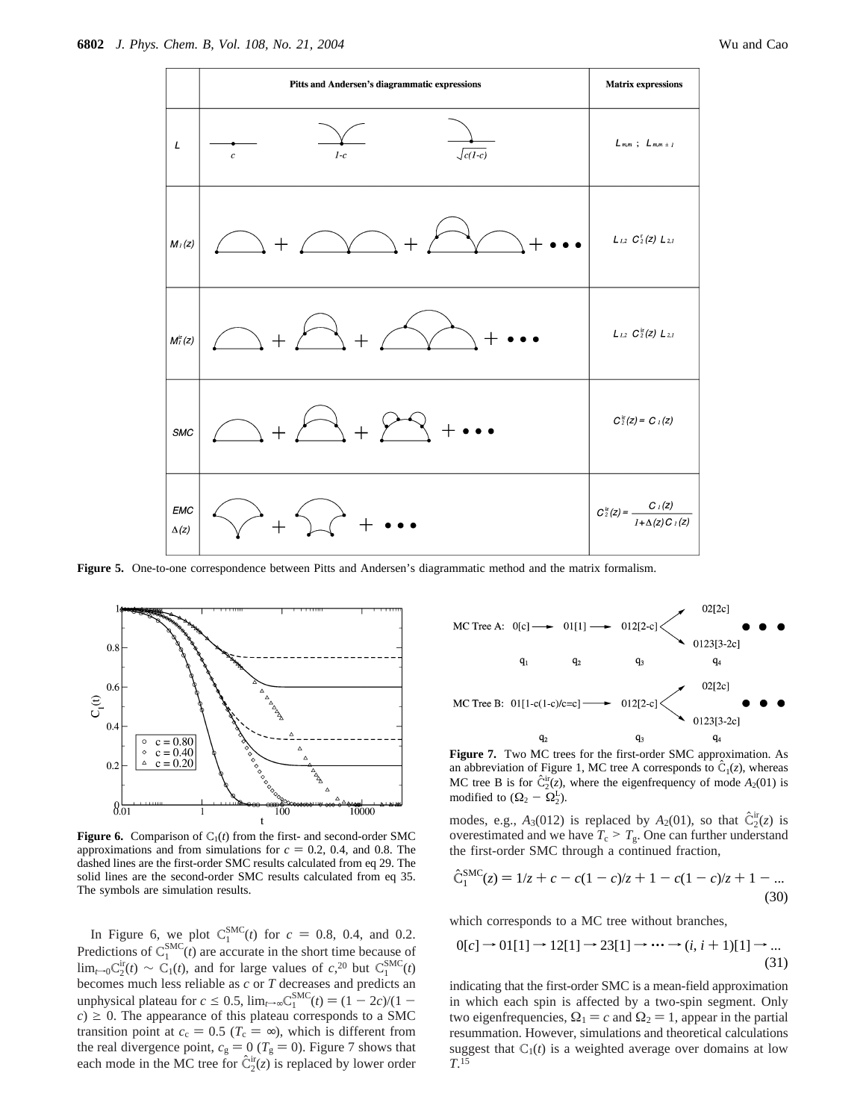

**Figure 5.** One-to-one correspondence between Pitts and Andersen's diagrammatic method and the matrix formalism.



**Figure 6.** Comparison of  $C_1(t)$  from the first- and second-order SMC approximations and from simulations for  $c = 0.2$ , 0.4, and 0.8. The dashed lines are the first-order SMC results calculated from eq 29. The solid lines are the second-order SMC results calculated from eq 35. The symbols are simulation results.

In Figure 6, we plot  $C_1^{SMC}(t)$  for  $c = 0.8$ , 0.4, and 0.2. Predictions of  $C_1^{SMC}(t)$  are accurate in the short time because of  $\lim_{t\to 0} C_2^{\text{ir}}(t) \sim C_1(t)$ , and for large values of *c*,<sup>20</sup> but  $C_1^{\text{SMC}}(t)$ becomes much less reliable as *c* or *T* decreases and predicts an unphysical plateau for  $c \le 0.5$ ,  $\lim_{t \to \infty} C_1^{\text{SMC}}(t) = (1 - 2c)/(1 - c) > 0$ . The appearance of this plateau corresponds to a SMC  $c \geq 0$ . The appearance of this plateau corresponds to a SMC transition point at  $c_c = 0.5$  ( $T_c = \infty$ ), which is different from the real divergence point,  $c_g = 0$  ( $T_g = 0$ ). Figure 7 shows that each mode in the MC tree for  $\hat{C}_2^{\text{ir}}(z)$  is replaced by lower order



**Figure 7.** Two MC trees for the first-order SMC approximation. As an abbreviation of Figure 1, MC tree A corresponds to  $\hat{C}_1(z)$ , whereas MC tree B is for  $\hat{C}_2^{\text{ir}}(z)$ , where the eigenfrequency of mode  $A_2(01)$  is modified to  $(\Omega_1 - \Omega^L)$ modified to  $(\Omega_2 - \Omega_2^L)$ .

modes, e.g.,  $A_3(012)$  is replaced by  $A_2(01)$ , so that  $\hat{C}^{\text{ir}}(z)$  is overestimated and we have  $T > T$ . One can further understand overestimated and we have  $T_c > T_g$ . One can further understand the first-order SMC through a continued fraction,

$$
\hat{C}_1^{\text{SMC}}(z) = 1/z + c - c(1 - c)/z + 1 - c(1 - c)/z + 1 - \dots
$$
\n(30)

which corresponds to a MC tree without branches,

$$
0[c] \rightarrow 01[1] \rightarrow 12[1] \rightarrow 23[1] \rightarrow \cdots \rightarrow (i, i+1)[1] \rightarrow \dots
$$
\n(31)

indicating that the first-order SMC is a mean-field approximation in which each spin is affected by a two-spin segment. Only two eigenfrequencies,  $\Omega_1 = c$  and  $\Omega_2 = 1$ , appear in the partial resummation. However, simulations and theoretical calculations suggest that  $C_1(t)$  is a weighted average over domains at low *T*. 15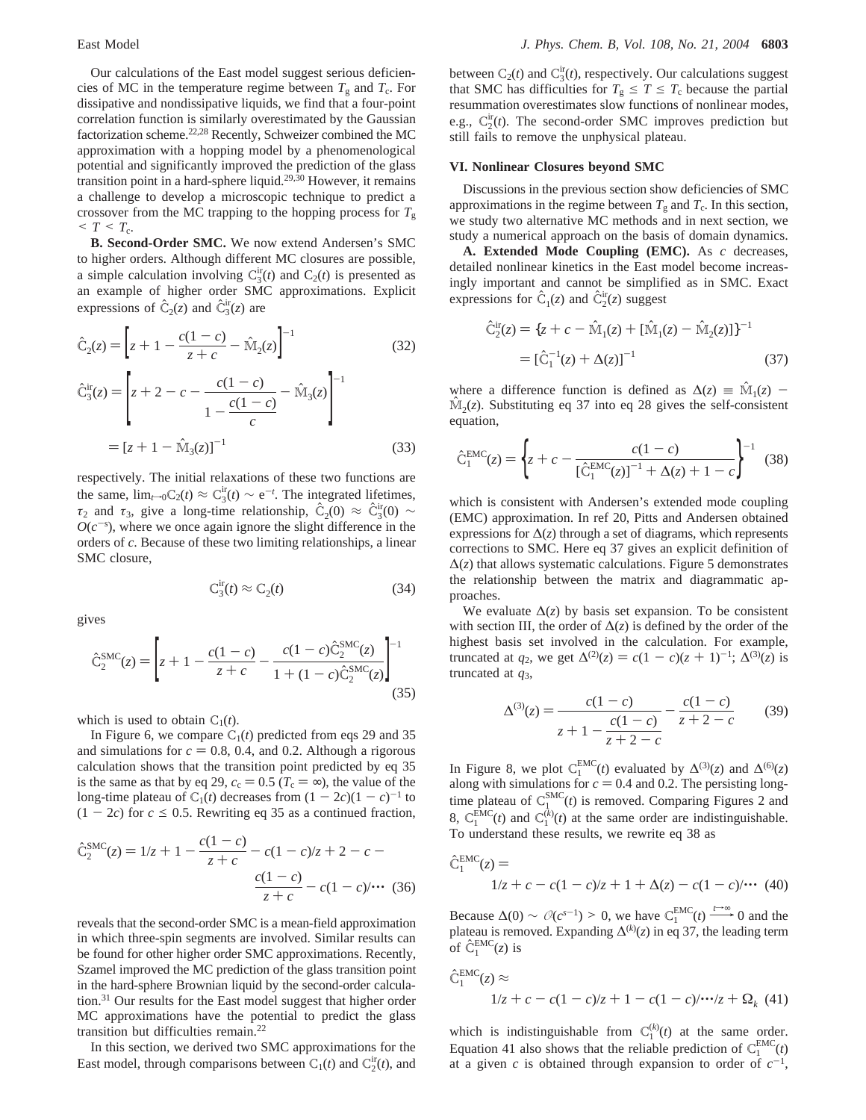Our calculations of the East model suggest serious deficiencies of MC in the temperature regime between  $T_g$  and  $T_c$ . For dissipative and nondissipative liquids, we find that a four-point correlation function is similarly overestimated by the Gaussian factorization scheme.22,28 Recently, Schweizer combined the MC approximation with a hopping model by a phenomenological potential and significantly improved the prediction of the glass transition point in a hard-sphere liquid.<sup>29,30</sup> However, it remains a challenge to develop a microscopic technique to predict a crossover from the MC trapping to the hopping process for *T*<sup>g</sup>  $\leq T \leq T_{c}$ .

**B. Second-Order SMC.** We now extend Andersen's SMC to higher orders. Although different MC closures are possible, a simple calculation involving  $C_3^{\text{ir}}(t)$  and  $C_2(t)$  is presented as an example of higher order SMC approximations. Explicit expressions of  $\hat{C}_2(z)$  and  $\hat{C}_3^{\text{ir}}(z)$  are

$$
\hat{C}_2(z) = \left[ z + 1 - \frac{c(1-c)}{z+c} - \hat{M}_2(z) \right]^{-1}
$$
\n(32)

$$
\hat{C}_3^{\text{ir}}(z) = \left[ z + 2 - c - \frac{c(1-c)}{1 - \frac{c(1-c)}{c}} - \hat{M}_3(z) \right]^{-1}
$$

$$
= \left[ z + 1 - \hat{M}_3(z) \right]^{-1}
$$
(33)

respectively. The initial relaxations of these two functions are the same,  $\lim_{t\to 0} C_2(t) \approx C_3^{\text{ir}}(t) \sim e^{-t}$ . The integrated lifetimes, *τ*<sub>2</sub> and *τ*<sub>3</sub>, give a long-time relationship,  $\hat{C}_2(0) \approx \hat{C}_3^{ir}(0) \sim$ <br>*O*( $c^{-5}$ ), where we once again ignore the slight difference in the  $O(c^{-s})$ , where we once again ignore the slight difference in the orders of *c*. Because of these two limiting relationships, a linear SMC closure,

$$
C_3^{ir}(t) \approx C_2(t) \tag{34}
$$

gives

$$
\hat{C}_2^{\text{SMC}}(z) = \left[ z + 1 - \frac{c(1-c)}{z+c} - \frac{c(1-c)\hat{C}_2^{\text{SMC}}(z)}{1 + (1-c)\hat{C}_2^{\text{SMC}}(z)} \right]^{-1} (35)
$$

which is used to obtain  $C_1(t)$ .

In Figure 6, we compare  $C_1(t)$  predicted from eqs 29 and 35 and simulations for  $c = 0.8$ , 0.4, and 0.2. Although a rigorous calculation shows that the transition point predicted by eq 35 is the same as that by eq 29,  $c_c = 0.5$  ( $T_c = \infty$ ), the value of the long-time plateau of  $C_1(t)$  decreases from  $(1 - 2c)(1 - c)^{-1}$  to  $(1 - 2c)$  for  $c \le 0.5$ . Rewriting eq 35 as a continued fraction,

$$
\hat{C}_2^{\text{SMC}}(z) = 1/z + 1 - \frac{c(1-c)}{z+c} - c(1-c)/z + 2 - c - \frac{c(1-c)}{z+c} - c(1-c)/\cdots
$$
 (36)

reveals that the second-order SMC is a mean-field approximation in which three-spin segments are involved. Similar results can be found for other higher order SMC approximations. Recently, Szamel improved the MC prediction of the glass transition point in the hard-sphere Brownian liquid by the second-order calculation.<sup>31</sup> Our results for the East model suggest that higher order MC approximations have the potential to predict the glass transition but difficulties remain.22

In this section, we derived two SMC approximations for the East model, through comparisons between  $C_1(t)$  and  $C_2^{\text{ir}}(t)$ , and

between  $C_2(t)$  and  $C_3^{\text{ir}}(t)$ , respectively. Our calculations suggest that SMC has difficulties for  $T_g \leq T \leq T_c$  because the partial resummation overestimates slow functions of nonlinear modes, e.g.,  $C_2^{\text{ir}}(t)$ . The second-order SMC improves prediction but still fails to remove the unphysical plateau.

#### **VI. Nonlinear Closures beyond SMC**

Discussions in the previous section show deficiencies of SMC approximations in the regime between  $T_g$  and  $T_g$ . In this section, we study two alternative MC methods and in next section, we study a numerical approach on the basis of domain dynamics.

**A. Extended Mode Coupling (EMC).** As *c* decreases, detailed nonlinear kinetics in the East model become increasingly important and cannot be simplified as in SMC. Exact expressions for  $\hat{C}_1(z)$  and  $\hat{C}_2^{ir}(z)$  suggest

$$
\hat{C}_2^{ir}(z) = \{z + c - \hat{M}_1(z) + [\hat{M}_1(z) - \hat{M}_2(z)]\}^{-1}
$$
  
=  $[\hat{C}_1^{-1}(z) + \Delta(z)]^{-1}$  (37)

where a difference function is defined as  $\Delta(z) \equiv \hat{M}_1(z)$  - $\hat{M}_2(z)$ . Substituting eq 37 into eq 28 gives the self-consistent equation,

$$
\hat{C}_1^{EMC}(z) = \left\{ z + c - \frac{c(1-c)}{[\hat{C}_1^{EMC}(z)]^{-1} + \Delta(z) + 1 - c} \right\}^{-1}
$$
(38)

which is consistent with Andersen's extended mode coupling (EMC) approximation. In ref 20, Pitts and Andersen obtained expressions for  $\Delta(z)$  through a set of diagrams, which represents corrections to SMC. Here eq 37 gives an explicit definition of  $\Delta(z)$  that allows systematic calculations. Figure 5 demonstrates the relationship between the matrix and diagrammatic approaches.

We evaluate  $\Delta(z)$  by basis set expansion. To be consistent with section III, the order of  $\Delta(z)$  is defined by the order of the highest basis set involved in the calculation. For example, truncated at *q*<sub>2</sub>, we get  $\Delta^{(2)}(z) = c(1 - c)(z + 1)^{-1}$ ;  $\Delta^{(3)}(z)$  is truncated at *q*3,

$$
\Delta^{(3)}(z) = \frac{c(1-c)}{z+1-\frac{c(1-c)}{z+2-c}} - \frac{c(1-c)}{z+2-c}
$$
(39)

In Figure 8, we plot  $C_1^{EMC}(t)$  evaluated by  $\Delta^{(3)}(z)$  and  $\Delta^{(6)}(z)$ along with simulations for  $c = 0.4$  and 0.2. The persisting long-<br>time plateau of  $C^{SMC}(t)$  is removed. Comparing Figures 2 and time plateau of  $C_1^{\text{SMC}}(t)$  is removed. Comparing Figures 2 and 8,  $C_1^{EMC}(t)$  and  $C_1^{(k)}(t)$  at the same order are indistinguishable. To understand these results, we rewrite eq 38 as

$$
\hat{C}_1^{EMC}(z) = 1/z + c - c(1 - c)/z + 1 + \Delta(z) - c(1 - c)/\cdots (40)
$$

Because  $\Delta(0) \sim O(c^{s-1}) > 0$ , we have  $C_1^{\text{EMC}}(t) \xrightarrow{t \to \infty} 0$  and the plateau is removed. Expanding  $\Delta^{(k)}(z)$  in eq 37, the leading term of  $\hat{C}_1^{\text{EMC}}(z)$  is plateau is removed. Expanding  $\Delta^{(k)}(z)$  in eq 37, the leading term of  $\hat{C}_1^{\text{EMC}}(z)$  is

$$
\hat{C}_1^{EMC}(z) \approx 1/z + c - c(1 - c)/z + 1 - c(1 - c)/\cdots/z + \Omega_k
$$
 (41)

which is indistinguishable from  $C_1^{(k)}(t)$  at the same order. Equation 41 also shows that the reliable prediction of  $C_1^{EMC}(t)$ at a given *c* is obtained through expansion to order of  $c^{-1}$ ,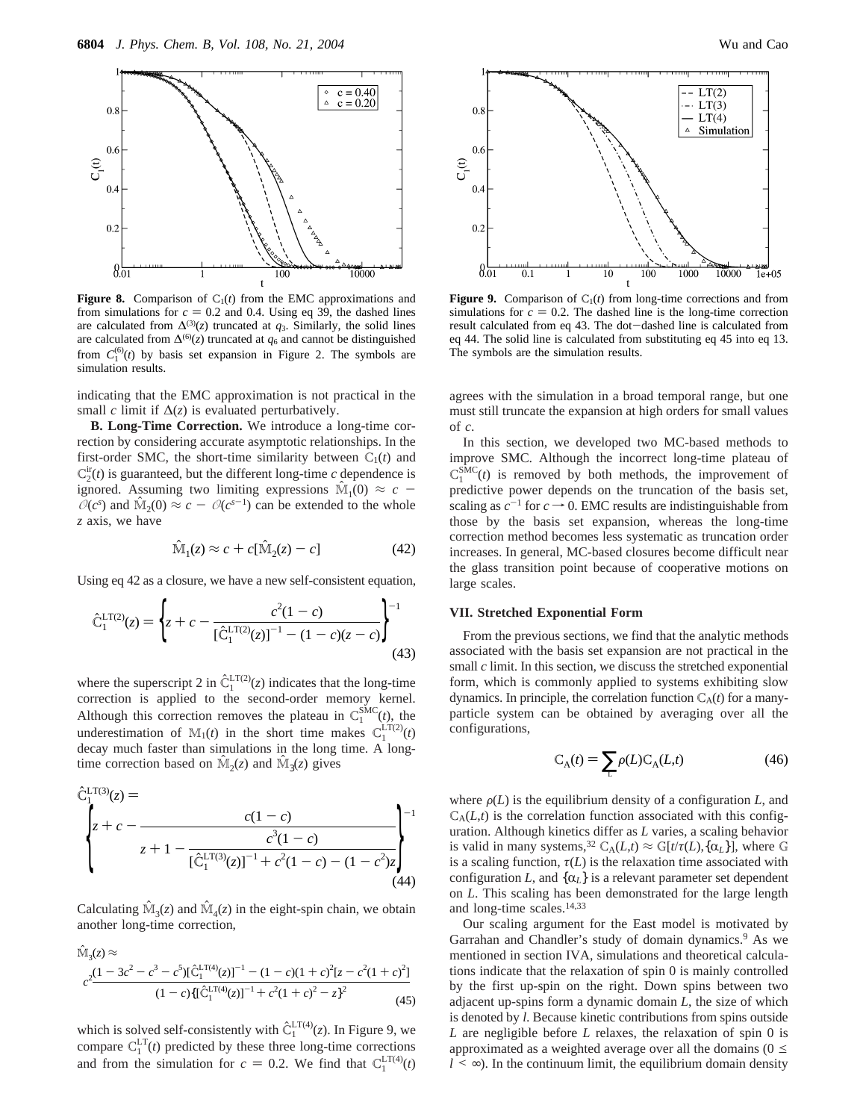

**Figure 8.** Comparison of  $C_1(t)$  from the EMC approximations and from simulations for *c* = 0.2 and 0.4. Using eq 39, the dashed lines are calculated from  $\Delta^{(3)}(z)$  truncated at *q*<sub>3</sub>. Similarly, the solid lines are calculated from  $\Delta^{(6)}(z)$  truncated at  $q_6$  and cannot be distinguished from  $C_1^{(6)}(t)$  by basis set expansion in Figure 2. The symbols are simulation results.

indicating that the EMC approximation is not practical in the small *c* limit if  $\Delta(z)$  is evaluated perturbatively.

**B. Long-Time Correction.** We introduce a long-time correction by considering accurate asymptotic relationships. In the first-order SMC, the short-time similarity between  $C_1(t)$  and  $C_2^{\text{ir}}(t)$  is guaranteed, but the different long-time *c* dependence is ignored. Assuming two limiting expressions  $\mathbb{M}_1(0) \approx c$  $\mathcal{O}(c^s)$  and  $\hat{M}_2(0) \approx c - \mathcal{O}(c^{s-1})$  can be extended to the whole *z* axis, we have

$$
\widehat{\mathbf{M}}_1(z) \approx c + c[\widehat{\mathbf{M}}_2(z) - c] \tag{42}
$$

Using eq 42 as a closure, we have a new self-consistent equation,

$$
\hat{C}_1^{\text{LT}(2)}(z) = \left\{ z + c - \frac{c^2 (1 - c)}{\left[ \hat{C}_1^{\text{LT}(2)}(z) \right]^{-1} - (1 - c)(z - c)} \right\}^{-1}
$$
\n(43)

where the superscript 2 in  $\hat{C}_1^{\text{LT}(2)}(z)$  indicates that the long-time correction is applied to the second-order memory kernel correction is applied to the second-order memory kernel. Although this correction removes the plateau in  $C_1^{\text{SMC}}(t)$ , the underestimation of  $M_1(t)$  in the short time makes  $C_1^{\text{LT}(2)}(t)$ decay much faster than simulations in the long time. A longtime correction based on  $\mathbb{M}_2(z)$  and  $\mathbb{M}_3(z)$  gives

$$
\hat{C}_{1}^{\text{LT(3)}}(z) = \frac{c(1-c)}{z+1 - \frac{c^{3}(1-c)}{[\hat{C}_{1}^{\text{LT(3)}}(z)]^{-1} + c^{2}(1-c) - (1-c^{2})z}}
$$
\n(44)

Calculating  $\hat{M}_3(z)$  and  $\hat{M}_4(z)$  in the eight-spin chain, we obtain another long-time correction,

$$
\hat{\mathbb{M}}_3(z) \approx
$$
\n
$$
c^2 \frac{(1 - 3c^2 - c^3 - c^5)[\hat{C}_1^{\text{LT}(4)}(z)]^{-1} - (1 - c)(1 + c)^2 [z - c^2 (1 + c)^2]}{(1 - c)\{[\hat{C}_1^{\text{LT}(4)}(z)]^{-1} + c^2 (1 + c)^2 - z\}^2}
$$
\n(45)

which is solved self-consistently with  $\hat{C}_1^{\text{LT}(4)}(z)$ . In Figure 9, we compare  $C_{1}^{\text{LT}}(t)$  predicted by these three long time corrections compare  $C_1^{\text{LT}}(t)$  predicted by these three long-time corrections and from the simulation for  $c = 0.2$ . We find that  $C_1^{\text{LT}(4)}(t)$ 



**Figure 9.** Comparison of  $C_1(t)$  from long-time corrections and from simulations for  $c = 0.2$ . The dashed line is the long-time correction simulations for  $c = 0.2$ . The dashed line is the long-time correction<br>result calculated from eq 43. The dot-dashed line is calculated from result calculated from eq 43. The dot-dashed line is calculated from<br>eq 44. The solid line is calculated from substituting eq 45 into eq 13. eq 44. The solid line is calculated from substituting eq 45 into eq 13. The symbols are the simulation results.

agrees with the simulation in a broad temporal range, but one must still truncate the expansion at high orders for small values of *c*.

In this section, we developed two MC-based methods to improve SMC. Although the incorrect long-time plateau of  $C_1^{\text{SMC}}(t)$  is removed by both methods, the improvement of predictive power depends on the truncation of the basis set, scaling as  $c^{-1}$  for  $c \rightarrow 0$ . EMC results are indistinguishable from those by the basis set expansion, whereas the long-time correction method becomes less systematic as truncation order increases. In general, MC-based closures become difficult near the glass transition point because of cooperative motions on large scales.

# **VII. Stretched Exponential Form**

From the previous sections, we find that the analytic methods associated with the basis set expansion are not practical in the small *c* limit. In this section, we discuss the stretched exponential form, which is commonly applied to systems exhibiting slow dynamics. In principle, the correlation function  $C_A(t)$  for a manyparticle system can be obtained by averaging over all the configurations,

$$
C_A(t) = \sum_{L} \rho(L) C_A(L, t) \tag{46}
$$

where  $\rho(L)$  is the equilibrium density of a configuration *L*, and  $C_A(L,t)$  is the correlation function associated with this configuration. Although kinetics differ as *L* varies, a scaling behavior is valid in many systems,<sup>32</sup> C<sub>A</sub>(*L*,*t*)  $\approx$  G[*t*/*τ*(*L*),{ $\alpha$ <sub>*L*</sub>}], where G is a scaling function,  $\tau(L)$  is the relaxation time associated with configuration *L*, and  $\{\alpha_L\}$  is a relevant parameter set dependent on *L*. This scaling has been demonstrated for the large length and long-time scales.14,33

Our scaling argument for the East model is motivated by Garrahan and Chandler's study of domain dynamics.<sup>9</sup> As we mentioned in section IVA, simulations and theoretical calculations indicate that the relaxation of spin 0 is mainly controlled by the first up-spin on the right. Down spins between two adjacent up-spins form a dynamic domain *L*, the size of which is denoted by *l*. Because kinetic contributions from spins outside *L* are negligible before *L* relaxes, the relaxation of spin 0 is approximated as a weighted average over all the domains ( $0 \le$  $l \leq \infty$ ). In the continuum limit, the equilibrium domain density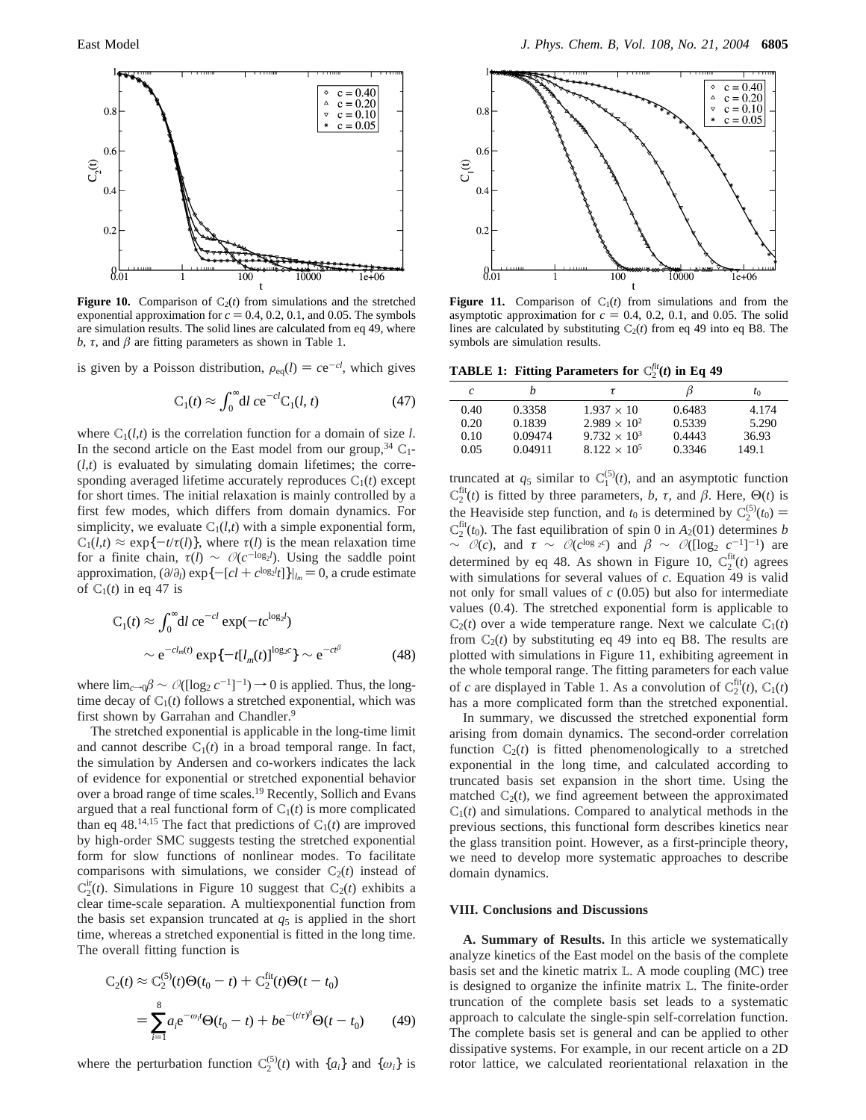

**Figure 10.** Comparison of  $C_2(t)$  from simulations and the stretched exponential approximation for  $c = 0.4, 0.2, 0.1$ , and 0.05. The symbols are simulation results. The solid lines are calculated from eq 49, where *b*, *τ*, and *β* are fitting parameters as shown in Table 1.

is given by a Poisson distribution,  $\rho_{eq}(l) = ce^{-cl}$ , which gives

$$
C_1(t) \approx \int_0^\infty dl \, c e^{-cl} C_1(l, t) \tag{47}
$$

where  $C_1(l,t)$  is the correlation function for a domain of size *l*. In the second article on the East model from our group,  $34 \text{ C}_1$ - $(l,t)$  is evaluated by simulating domain lifetimes; the corresponding averaged lifetime accurately reproduces  $C_1(t)$  except for short times. The initial relaxation is mainly controlled by a first few modes, which differs from domain dynamics. For simplicity, we evaluate  $C_1(l,t)$  with a simple exponential form,  $C_1(l,t) \approx \exp\{-t/\tau(l)\}\$ , where  $\tau(l)$  is the mean relaxation time for a finite chain,  $\tau(l) \sim O(c^{-\log_2 l})$ . Using the saddle point approximation,  $(\partial/\partial_l) \exp\{-[cl + c^{\log_2 l}t]\}|_{l_m} = 0$ , a crude estimate of  $C_1(t)$  in eq. 47 is of  $C_1(t)$  in eq 47 is

$$
C_1(t) \approx \int_0^\infty dl \ c e^{-cl} \exp(-tc^{\log_2 l})
$$

$$
\sim e^{-cl_m(t)} \exp\{-t[l_m(t)]^{\log_2 c}\} \sim e^{-ct^\beta} \tag{48}
$$

where  $\lim_{c\to 0}$  $β \sim \mathcal{O}(\log_2 c^{-1}$ <sup>-1</sup> $)$  → 0 is applied. Thus, the longtime decay of  $C_1(t)$  follows a stretched exponential, which was first shown by Garrahan and Chandler.<sup>9</sup>

The stretched exponential is applicable in the long-time limit and cannot describe  $C_1(t)$  in a broad temporal range. In fact, the simulation by Andersen and co-workers indicates the lack of evidence for exponential or stretched exponential behavior over a broad range of time scales.<sup>19</sup> Recently, Sollich and Evans argued that a real functional form of  $C_1(t)$  is more complicated than eq 48.<sup>14,15</sup> The fact that predictions of  $C_1(t)$  are improved by high-order SMC suggests testing the stretched exponential form for slow functions of nonlinear modes. To facilitate comparisons with simulations, we consider  $C_2(t)$  instead of  $C_2^{\text{ir}}(t)$ . Simulations in Figure 10 suggest that  $C_2(t)$  exhibits a clear time-scale separation. A multiexponential function from the basis set expansion truncated at  $q<sub>5</sub>$  is applied in the short time, whereas a stretched exponential is fitted in the long time. The overall fitting function is

$$
C_2(t) \approx C_2^{(5)}(t)\Theta(t_0 - t) + C_2^{fit}(t)\Theta(t - t_0)
$$
  
= 
$$
\sum_{i=1}^{8} a_i e^{-\omega_i t} \Theta(t_0 - t) + b e^{-(t/\tau)^{\beta}} \Theta(t - t_0)
$$
(49)

where the perturbation function  $C_2^{(5)}(t)$  with  $\{a_i\}$  and  $\{\omega_i\}$  is



**Figure 11.** Comparison of  $C_1(t)$  from simulations and from the asymptotic approximation for  $c = 0.4$ , 0.2, 0.1, and 0.05. The solid lines are calculated by substituting  $C_2(t)$  from eq 49 into eq B8. The symbols are simulation results.

**TABLE 1: Fitting Parameters for**  $C_2^{fit}(t)$  in Eq 49

| $\epsilon$ | h       | τ                     |        | $t_0$ |
|------------|---------|-----------------------|--------|-------|
| 0.40       | 0.3358  | $1.937 \times 10$     | 0.6483 | 4.174 |
| 0.20       | 0.1839  | $2.989 \times 10^{2}$ | 0.5339 | 5.290 |
| 0.10       | 0.09474 | $9.732 \times 10^3$   | 0.4443 | 36.93 |
| 0.05       | 0.04911 | $8.122 \times 10^5$   | 0.3346 | 149.1 |

truncated at  $q_5$  similar to  $C_1^{(5)}(t)$ , and an asymptotic function  $C_2^{\text{fit}}(t)$  is fitted by three parameters, *b*, *τ*, and *β*. Here,  $\Theta(t)$  is the Heaviside step function, and  $t_0$  is determined by  $C_2^{(5)}(t_0) =$ <br> $C_{1}^{fit}(t_0)$ . The fast equilibration of spin 0 in  $A_2(01)$  determines by  $C_2^{\text{fit}}(t_0)$ . The fast equilibration of spin 0 in  $A_2(01)$  determines *b*  $\sim$  *O*(*c*), and *τ* ∼ *O*(*c*<sup>log<sub>2</sub>*c*</sub>) and *β* ∼ *O*([log<sub>2</sub> *c*<sup>-1</sup>]<sup>-1</sup>) are</sup> determined by eq 48. As shown in Figure 10,  $C_2^{fit}(t)$  agrees with simulations for several values of *c*. Equation 49 is valid not only for small values of *c* (0.05) but also for intermediate values (0.4). The stretched exponential form is applicable to  $C_2(t)$  over a wide temperature range. Next we calculate  $C_1(t)$ from  $C_2(t)$  by substituting eq 49 into eq B8. The results are plotted with simulations in Figure 11, exhibiting agreement in the whole temporal range. The fitting parameters for each value of *c* are displayed in Table 1. As a convolution of  $C_2^{\text{fit}}(t)$ ,  $C_1(t)$ has a more complicated form than the stretched exponential.

In summary, we discussed the stretched exponential form arising from domain dynamics. The second-order correlation function  $C_2(t)$  is fitted phenomenologically to a stretched exponential in the long time, and calculated according to truncated basis set expansion in the short time. Using the matched  $C_2(t)$ , we find agreement between the approximated  $C_1(t)$  and simulations. Compared to analytical methods in the previous sections, this functional form describes kinetics near the glass transition point. However, as a first-principle theory, we need to develop more systematic approaches to describe domain dynamics.

#### **VIII. Conclusions and Discussions**

**A. Summary of Results.** In this article we systematically analyze kinetics of the East model on the basis of the complete basis set and the kinetic matrix L. A mode coupling (MC) tree is designed to organize the infinite matrix L. The finite-order truncation of the complete basis set leads to a systematic approach to calculate the single-spin self-correlation function. The complete basis set is general and can be applied to other dissipative systems. For example, in our recent article on a 2D rotor lattice, we calculated reorientational relaxation in the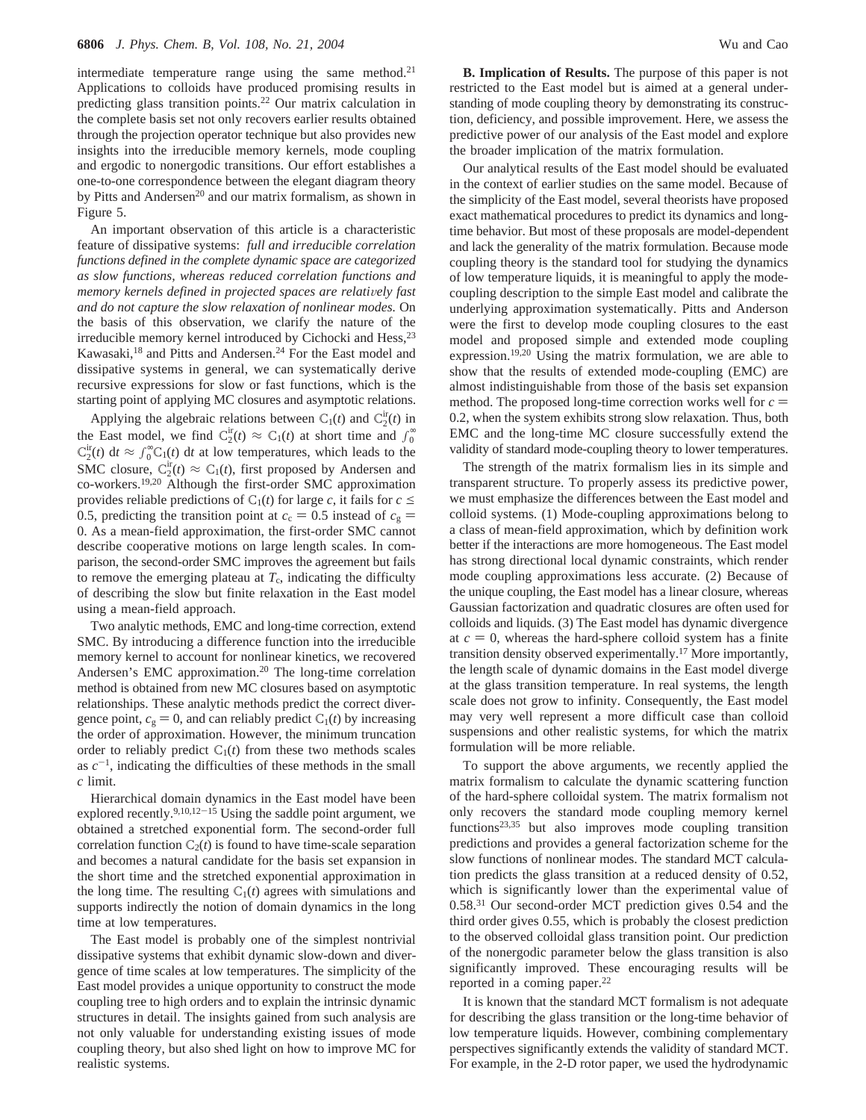intermediate temperature range using the same method.<sup>21</sup> Applications to colloids have produced promising results in predicting glass transition points.22 Our matrix calculation in the complete basis set not only recovers earlier results obtained through the projection operator technique but also provides new insights into the irreducible memory kernels, mode coupling and ergodic to nonergodic transitions. Our effort establishes a one-to-one correspondence between the elegant diagram theory by Pitts and Andersen<sup>20</sup> and our matrix formalism, as shown in Figure 5.

An important observation of this article is a characteristic feature of dissipative systems: *full and irreducible correlation functions defined in the complete dynamic space are categorized as slow functions, whereas reduced correlation functions and memory kernels defined in projected spaces are relatively fast and do not capture the slow relaxation of nonlinear modes.* On the basis of this observation, we clarify the nature of the irreducible memory kernel introduced by Cichocki and Hess, <sup>23</sup> Kawasaki,<sup>18</sup> and Pitts and Andersen.<sup>24</sup> For the East model and dissipative systems in general, we can systematically derive recursive expressions for slow or fast functions, which is the starting point of applying MC closures and asymptotic relations.

Applying the algebraic relations between  $C_1(t)$  and  $C_2^{\text{ir}}(t)$  in the East model, we find  $C_2^{ir}(t) \approx C_1(t)$  at short time and  $\int_0^{\infty}$  $C_2^{\text{ir}}(t)$  d*t*  $\approx \int_0^\infty C_1(t) dt$  at low temperatures, which leads to the SMC closure,  $C_2^{\text{ir}}(t) \approx C_1(t)$ , first proposed by Andersen and co-workers.19,20 Although the first-order SMC approximation provides reliable predictions of  $C_1(t)$  for large *c*, it fails for  $c \leq$ 0.5, predicting the transition point at  $c_c = 0.5$  instead of  $c_g$  = 0. As a mean-field approximation, the first-order SMC cannot describe cooperative motions on large length scales. In comparison, the second-order SMC improves the agreement but fails to remove the emerging plateau at  $T_c$ , indicating the difficulty of describing the slow but finite relaxation in the East model using a mean-field approach.

Two analytic methods, EMC and long-time correction, extend SMC. By introducing a difference function into the irreducible memory kernel to account for nonlinear kinetics, we recovered Andersen's EMC approximation.<sup>20</sup> The long-time correlation method is obtained from new MC closures based on asymptotic relationships. These analytic methods predict the correct divergence point,  $c_g = 0$ , and can reliably predict  $C_1(t)$  by increasing the order of approximation. However, the minimum truncation order to reliably predict  $C_1(t)$  from these two methods scales as  $c^{-1}$ , indicating the difficulties of these methods in the small *c* limit.

Hierarchical domain dynamics in the East model have been explored recently. $9,10,12-15$  Using the saddle point argument, we obtained a stretched exponential form. The second-order full correlation function  $C_2(t)$  is found to have time-scale separation and becomes a natural candidate for the basis set expansion in the short time and the stretched exponential approximation in the long time. The resulting  $C_1(t)$  agrees with simulations and supports indirectly the notion of domain dynamics in the long time at low temperatures.

The East model is probably one of the simplest nontrivial dissipative systems that exhibit dynamic slow-down and divergence of time scales at low temperatures. The simplicity of the East model provides a unique opportunity to construct the mode coupling tree to high orders and to explain the intrinsic dynamic structures in detail. The insights gained from such analysis are not only valuable for understanding existing issues of mode coupling theory, but also shed light on how to improve MC for realistic systems.

**B. Implication of Results.** The purpose of this paper is not restricted to the East model but is aimed at a general understanding of mode coupling theory by demonstrating its construction, deficiency, and possible improvement. Here, we assess the predictive power of our analysis of the East model and explore the broader implication of the matrix formulation.

Our analytical results of the East model should be evaluated in the context of earlier studies on the same model. Because of the simplicity of the East model, several theorists have proposed exact mathematical procedures to predict its dynamics and longtime behavior. But most of these proposals are model-dependent and lack the generality of the matrix formulation. Because mode coupling theory is the standard tool for studying the dynamics of low temperature liquids, it is meaningful to apply the modecoupling description to the simple East model and calibrate the underlying approximation systematically. Pitts and Anderson were the first to develop mode coupling closures to the east model and proposed simple and extended mode coupling expression.<sup>19,20</sup> Using the matrix formulation, we are able to show that the results of extended mode-coupling (EMC) are almost indistinguishable from those of the basis set expansion method. The proposed long-time correction works well for  $c =$ 0.2, when the system exhibits strong slow relaxation. Thus, both EMC and the long-time MC closure successfully extend the validity of standard mode-coupling theory to lower temperatures.

The strength of the matrix formalism lies in its simple and transparent structure. To properly assess its predictive power, we must emphasize the differences between the East model and colloid systems. (1) Mode-coupling approximations belong to a class of mean-field approximation, which by definition work better if the interactions are more homogeneous. The East model has strong directional local dynamic constraints, which render mode coupling approximations less accurate. (2) Because of the unique coupling, the East model has a linear closure, whereas Gaussian factorization and quadratic closures are often used for colloids and liquids. (3) The East model has dynamic divergence at  $c = 0$ , whereas the hard-sphere colloid system has a finite transition density observed experimentally.17 More importantly, the length scale of dynamic domains in the East model diverge at the glass transition temperature. In real systems, the length scale does not grow to infinity. Consequently, the East model may very well represent a more difficult case than colloid suspensions and other realistic systems, for which the matrix formulation will be more reliable.

To support the above arguments, we recently applied the matrix formalism to calculate the dynamic scattering function of the hard-sphere colloidal system. The matrix formalism not only recovers the standard mode coupling memory kernel functions23,35 but also improves mode coupling transition predictions and provides a general factorization scheme for the slow functions of nonlinear modes. The standard MCT calculation predicts the glass transition at a reduced density of 0.52, which is significantly lower than the experimental value of 0.58.31 Our second-order MCT prediction gives 0.54 and the third order gives 0.55, which is probably the closest prediction to the observed colloidal glass transition point. Our prediction of the nonergodic parameter below the glass transition is also significantly improved. These encouraging results will be reported in a coming paper.<sup>22</sup>

It is known that the standard MCT formalism is not adequate for describing the glass transition or the long-time behavior of low temperature liquids. However, combining complementary perspectives significantly extends the validity of standard MCT. For example, in the 2-D rotor paper, we used the hydrodynamic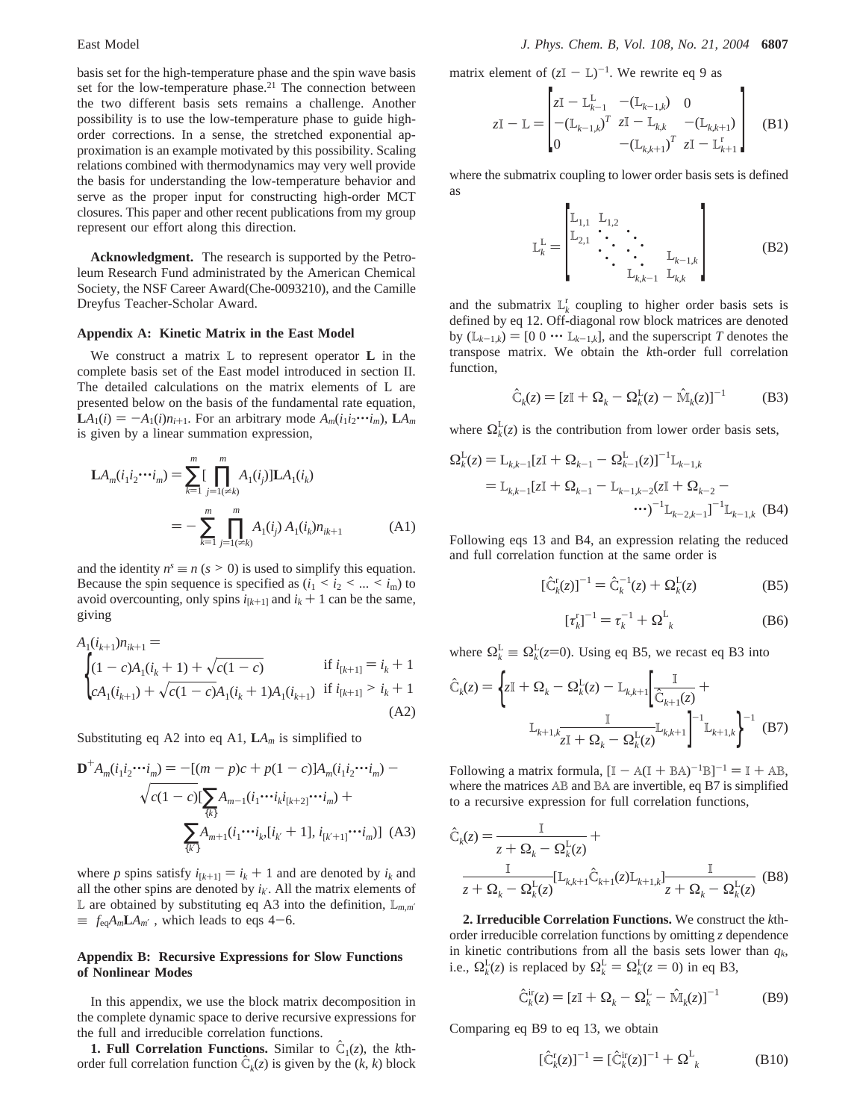basis set for the high-temperature phase and the spin wave basis set for the low-temperature phase.<sup>21</sup> The connection between the two different basis sets remains a challenge. Another possibility is to use the low-temperature phase to guide highorder corrections. In a sense, the stretched exponential approximation is an example motivated by this possibility. Scaling relations combined with thermodynamics may very well provide the basis for understanding the low-temperature behavior and serve as the proper input for constructing high-order MCT closures. This paper and other recent publications from my group represent our effort along this direction.

**Acknowledgment.** The research is supported by the Petroleum Research Fund administrated by the American Chemical Society, the NSF Career Award(Che-0093210), and the Camille Dreyfus Teacher-Scholar Award.

#### **Appendix A: Kinetic Matrix in the East Model**

We construct a matrix L to represent operator **L** in the complete basis set of the East model introduced in section II. The detailed calculations on the matrix elements of L are presented below on the basis of the fundamental rate equation,  $LA_1(i) = -A_1(i)n_{i+1}$ . For an arbitrary mode  $A_m(i_1i_2\cdots i_m)$ ,  $LA_m$ is given by a linear summation expression,

$$
\mathbf{L}A_m(i_1i_2\cdots i_m) = \sum_{k=1}^m \left[ \prod_{j=1(\neq k)}^m A_1(i_j) \right] \mathbf{L}A_1(i_k)
$$
  
= 
$$
-\sum_{k=1}^m \prod_{j=1(\neq k)}^m A_1(i_j) A_1(i_k) n_{ik+1}
$$
(A1)

and the identity  $n<sup>s</sup> \equiv n (s > 0)$  is used to simplify this equation. Because the spin sequence is specified as  $(i_1 \le i_2 \le ... \le i_m)$  to avoid overcounting, only spins  $i_{[k+1]}$  and  $i_k + 1$  can be the same, giving

$$
A_{1}(i_{k+1})n_{ik+1} =
$$
\n
$$
\begin{cases}\n(1-c)A_{1}(i_{k}+1) + \sqrt{c(1-c)} & \text{if } i_{[k+1]} = i_{k}+1 \\
cA_{1}(i_{k+1}) + \sqrt{c(1-c)}A_{1}(i_{k}+1)A_{1}(i_{k+1}) & \text{if } i_{[k+1]} > i_{k}+1\n\end{cases}
$$
\n(A2)

Substituting eq A2 into eq A1,  $LA_m$  is simplified to

$$
\mathbf{D}^{+}A_{m}(i_{1}i_{2}\cdots i_{m}) = -[(m-p)c + p(1-c)]A_{m}(i_{1}i_{2}\cdots i_{m}) - \sqrt{c(1-c)}[\sum_{\{k\}}A_{m-1}(i_{1}\cdots i_{k}i_{[k+2]}\cdots i_{m}) + \sum_{\{k'\}}A_{m+1}(i_{1}\cdots i_{k}i_{k}+1], i_{[k'+1]}\cdots i_{m})]
$$
(A3)

where *p* spins satisfy  $i_{[k+1]} = i_k + 1$  and are denoted by  $i_k$  and all the other spins are denoted by  $i_k$ . All the matrix elements of L are obtained by substituting eq A3 into the definition, L*m*,*m*′  $\equiv \langle f_{eq} A_m L A_{m'} \rangle$ , which leads to eqs 4–6.

# **Appendix B: Recursive Expressions for Slow Functions of Nonlinear Modes**

In this appendix, we use the block matrix decomposition in the complete dynamic space to derive recursive expressions for the full and irreducible correlation functions.

**1. Full Correlation Functions.** Similar to  $\hat{C}_1(z)$ , the *k*thorder full correlation function  $\hat{C}_k(z)$  is given by the  $(k, k)$  block matrix element of  $(zI - L)^{-1}$ . We rewrite eq 9 as

$$
zI - L = \begin{bmatrix} zI - L_{k-1}^{L} & -(L_{k-1,k}) & 0 \\ -(L_{k-1,k})^{T} & zI - L_{k,k} & -(L_{k,k+1}) \\ 0 & -(L_{k,k+1})^{T} & zI - L_{k+1}^{T} \end{bmatrix}
$$
(B1)

where the submatrix coupling to lower order basis sets is defined as

$$
\mathbb{L}_{k}^{\mathcal{L}} = \begin{bmatrix} \mathbb{L}_{1,1} & \mathbb{L}_{1,2} & & \\ \mathbb{L}_{2,1} & \ddots & \ddots & \ddots \\ & \ddots & \ddots & \ddots & \ddots \\ & & \mathbb{L}_{k,k-1} & \mathbb{L}_{k,k} \end{bmatrix}
$$
(B2)

and the submatrix  $L_k^r$  coupling to higher order basis sets is defined by eq 12. Off-diagonal row block matrices are denoted by  $(L_{k-1,k}) = [0 \ 0 \ \cdots \ L_{k-1,k}]$ , and the superscript *T* denotes the transpose matrix. We obtain the *k*th-order full correlation function,

$$
\hat{\mathbf{C}}_k(z) = [z\mathbf{I} + \mathbf{\Omega}_k - \mathbf{\Omega}_k^{\mathbf{L}}(z) - \hat{\mathbf{M}}_k(z)]^{-1}
$$
 (B3)

where  $\Omega_k^L(z)$  is the contribution from lower order basis sets,

$$
\Omega_k^{\mathcal{L}}(z) = \mathcal{L}_{k,k-1}[z\mathbf{I} + \Omega_{k-1} - \Omega_{k-1}^{\mathcal{L}}(z)]^{-1} \mathcal{L}_{k-1,k}
$$
  
=  $\mathcal{L}_{k,k-1}[z\mathbf{I} + \Omega_{k-1} - \mathcal{L}_{k-1,k-2}(z\mathbf{I} + \Omega_{k-2} - \cdots)^{-1} \mathcal{L}_{k-2,k-1}]^{-1} \mathcal{L}_{k-1,k}$  (B4)

Following eqs 13 and B4, an expression relating the reduced and full correlation function at the same order is

$$
\left[\hat{C}_{k}^{r}(z)\right]^{-1} = \hat{C}_{k}^{-1}(z) + \Omega_{k}^{L}(z)
$$
\n(B5)

$$
[\tau_k^{\rm r}]^{-1} = \tau_k^{-1} + \Omega_{k}^{\rm L} \tag{B6}
$$

where  $\Omega_k^{\mathcal{L}} \equiv \Omega_k^{\mathcal{L}}(z=0)$ . Using eq B5, we recast eq B3 into

$$
\hat{C}_k(z) = \left\{ zI + \Omega_k - \Omega_k^L(z) - L_{k,k+1} \left[ \frac{I}{\hat{C}_{k+1}(z)} + \frac{I}{\hat{C}_{k+1}(z)} \right] \right\}
$$
\n
$$
L_{k+1,k} \frac{I}{zI + \Omega_k - \Omega_k^L(z)} L_{k,k+1} \right\}^{-1} L_{k+1,k} \left\{ \frac{I}{\hat{C}_{k+1}(z)} L_{k,k+1} - L_{k+1,k} \right\}^{-1} (B7)
$$

Following a matrix formula,  $[I - A(I + BA)^{-1}B]^{-1} = I + AB$ , where the matrices AB and BA are invertible, eq B7 is simplified to a recursive expression for full correlation functions,

$$
\hat{C}_k(z) = \frac{I}{z + \Omega_k - \Omega_k^L(z)} + \frac{I}{z + \Omega_k - \Omega_k^L(z)} [L_{k,k+1} \hat{C}_{k+1}(z) L_{k+1,k}] \frac{I}{z + \Omega_k - \Omega_k^L(z)}
$$
(B8)

**2. Irreducible Correlation Functions.** We construct the *k*thorder irreducible correlation functions by omitting *z* dependence in kinetic contributions from all the basis sets lower than  $q_k$ , i.e.,  $\Omega_k^L(z)$  is replaced by  $\Omega_k^L = \Omega_k^L(z = 0)$  in eq B3,

$$
\hat{\mathbf{C}}_k^{\text{ir}}(z) = [z\mathbf{I} + \mathbf{\Omega}_k - \mathbf{\Omega}_k^{\text{L}} - \hat{\mathbf{M}}_k(z)]^{-1}
$$
 (B9)

Comparing eq B9 to eq 13, we obtain

$$
\left[\hat{C}_{k}^{r}(z)\right]^{-1} = \left[\hat{C}_{k}^{ir}(z)\right]^{-1} + \Omega_{k}^{L}
$$
 (B10)